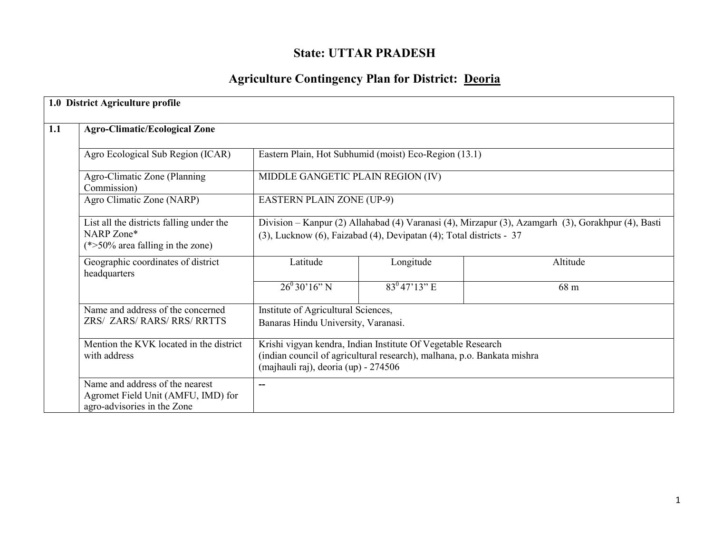## State: UTTAR PRADESH

# Agriculture Contingency Plan for District: Deoria

|     | 1.0 District Agriculture profile                                                                     |                                                                                                                                                                                 |                                                                            |          |  |  |  |  |
|-----|------------------------------------------------------------------------------------------------------|---------------------------------------------------------------------------------------------------------------------------------------------------------------------------------|----------------------------------------------------------------------------|----------|--|--|--|--|
| 1.1 | <b>Agro-Climatic/Ecological Zone</b>                                                                 |                                                                                                                                                                                 |                                                                            |          |  |  |  |  |
|     | Agro Ecological Sub Region (ICAR)                                                                    |                                                                                                                                                                                 | Eastern Plain, Hot Subhumid (moist) Eco-Region (13.1)                      |          |  |  |  |  |
|     | Agro-Climatic Zone (Planning<br>Commission)                                                          | MIDDLE GANGETIC PLAIN REGION (IV)                                                                                                                                               |                                                                            |          |  |  |  |  |
|     | Agro Climatic Zone (NARP)                                                                            |                                                                                                                                                                                 | <b>EASTERN PLAIN ZONE (UP-9)</b>                                           |          |  |  |  |  |
|     | List all the districts falling under the<br>NARP Zone*<br>$(*>50\%$ area falling in the zone)        | Division - Kanpur (2) Allahabad (4) Varanasi (4), Mirzapur (3), Azamgarh (3), Gorakhpur (4), Basti<br>(3), Lucknow (6), Faizabad (4), Devipatan (4); Total districts - 37       |                                                                            |          |  |  |  |  |
|     | Geographic coordinates of district<br>headquarters                                                   | Latitude                                                                                                                                                                        | Longitude                                                                  | Altitude |  |  |  |  |
|     |                                                                                                      | $26^{\circ}30'16''$ N                                                                                                                                                           | $83^047'13''$ E                                                            | 68 m     |  |  |  |  |
|     | Name and address of the concerned<br>ZRS/ ZARS/ RARS/ RRS/ RRTTS                                     |                                                                                                                                                                                 | Institute of Agricultural Sciences,<br>Banaras Hindu University, Varanasi. |          |  |  |  |  |
|     | Mention the KVK located in the district<br>with address                                              | Krishi vigyan kendra, Indian Institute Of Vegetable Research<br>(indian council of agricultural research), malhana, p.o. Bankata mishra<br>(majhauli raj), deoria (up) - 274506 |                                                                            |          |  |  |  |  |
|     | Name and address of the nearest<br>Agromet Field Unit (AMFU, IMD) for<br>agro-advisories in the Zone | --                                                                                                                                                                              |                                                                            |          |  |  |  |  |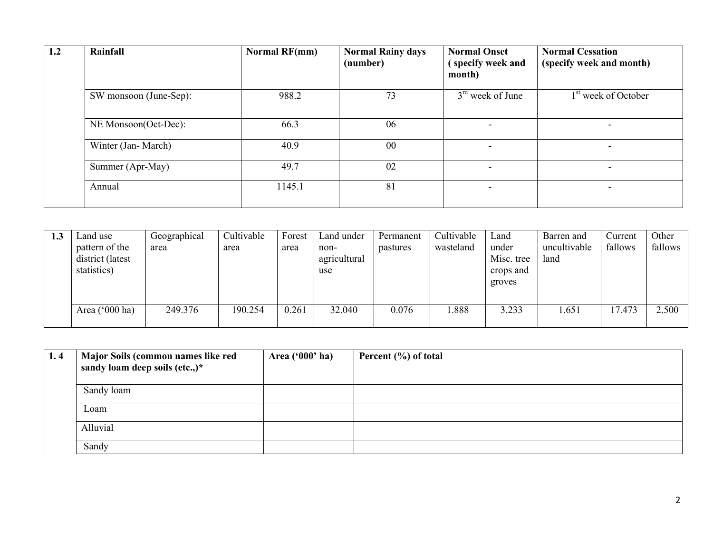| 1.2 | Rainfall               | <b>Normal RF(mm)</b> | <b>Normal Rainy days</b><br>(number) | <b>Normal Onset</b><br>(specify week and<br>month) | <b>Normal Cessation</b><br>(specify week and month) |
|-----|------------------------|----------------------|--------------------------------------|----------------------------------------------------|-----------------------------------------------------|
|     | SW monsoon (June-Sep): | 988.2                | 73                                   | $3rd$ week of June                                 | 1 <sup>st</sup> week of October                     |
|     | NE Monsoon(Oct-Dec):   | 66.3                 | 06                                   | $\overline{\phantom{0}}$                           |                                                     |
|     | Winter (Jan-March)     | 40.9                 | 00                                   |                                                    |                                                     |
|     | Summer (Apr-May)       | 49.7                 | 02                                   | $\overline{\phantom{0}}$                           | $\overline{\phantom{0}}$                            |
|     | Annual                 | 1145.1               | 81                                   | $\overline{\phantom{0}}$                           | $\overline{\phantom{0}}$                            |

| 1.3 | Land use         | Geographical | Cultivable | Forest | Land under   | Permanent | Cultivable | Land       | Barren and   | Current | Other   |
|-----|------------------|--------------|------------|--------|--------------|-----------|------------|------------|--------------|---------|---------|
|     | pattern of the   | area         | area       | area   | non-         | pastures  | wasteland  | under      | uncultivable | fallows | fallows |
|     | district (latest |              |            |        | agricultural |           |            | Misc. tree | land         |         |         |
|     | statistics)      |              |            |        | use          |           |            | crops and  |              |         |         |
|     |                  |              |            |        |              |           |            | groves     |              |         |         |
|     |                  |              |            |        |              |           |            |            |              |         |         |
|     | Area $('000 ha)$ | 249.376      | 190.254    | 0.261  | 32.040       | 0.076     | .888       | 3.233      | .651         | 17.473  | 2.500   |
|     |                  |              |            |        |              |           |            |            |              |         |         |

| 1.4 | Major Soils (common names like red<br>sandy loam deep soils (etc.,)* | Area ('000' ha) | Percent $(\% )$ of total |
|-----|----------------------------------------------------------------------|-----------------|--------------------------|
|     | Sandy loam                                                           |                 |                          |
|     | Loam                                                                 |                 |                          |
|     | Alluvial                                                             |                 |                          |
|     | Sandy                                                                |                 |                          |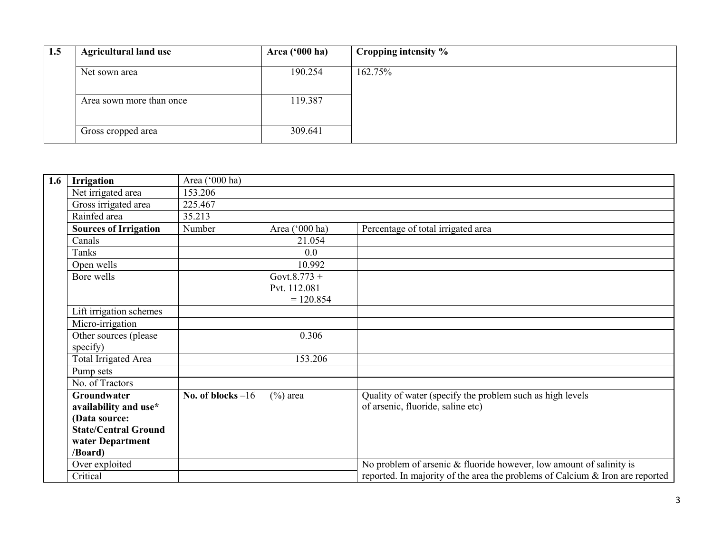| 1.5 | <b>Agricultural land use</b> | <b>Area ('000 ha)</b> | Cropping intensity % |
|-----|------------------------------|-----------------------|----------------------|
|     | Net sown area                | 190.254               | 162.75%              |
|     | Area sown more than once     | 119.387               |                      |
|     | Gross cropped area           | 309.641               |                      |

| 1.6 | Irrigation                                                                                                          | Area ('000 ha)      |                                             |                                                                                                |
|-----|---------------------------------------------------------------------------------------------------------------------|---------------------|---------------------------------------------|------------------------------------------------------------------------------------------------|
|     | Net irrigated area                                                                                                  | 153.206             |                                             |                                                                                                |
|     | Gross irrigated area                                                                                                | 225.467             |                                             |                                                                                                |
|     | Rainfed area                                                                                                        | 35.213              |                                             |                                                                                                |
|     | <b>Sources of Irrigation</b>                                                                                        | Number              | Area ('000 ha)                              | Percentage of total irrigated area                                                             |
|     | Canals                                                                                                              |                     | 21.054                                      |                                                                                                |
|     | Tanks                                                                                                               |                     | 0.0                                         |                                                                                                |
|     | Open wells                                                                                                          |                     | 10.992                                      |                                                                                                |
|     | Bore wells                                                                                                          |                     | Govt.8.773 +<br>Pvt. 112.081<br>$= 120.854$ |                                                                                                |
|     | Lift irrigation schemes                                                                                             |                     |                                             |                                                                                                |
|     | Micro-irrigation                                                                                                    |                     |                                             |                                                                                                |
|     | Other sources (please)<br>specify)                                                                                  |                     | 0.306                                       |                                                                                                |
|     | <b>Total Irrigated Area</b>                                                                                         |                     | 153.206                                     |                                                                                                |
|     | Pump sets                                                                                                           |                     |                                             |                                                                                                |
|     | No. of Tractors                                                                                                     |                     |                                             |                                                                                                |
|     | Groundwater<br>availability and use*<br>(Data source:<br><b>State/Central Ground</b><br>water Department<br>/Board) | No. of blocks $-16$ | $(\%)$ area                                 | Quality of water (specify the problem such as high levels<br>of arsenic, fluoride, saline etc) |
|     | Over exploited                                                                                                      |                     |                                             | No problem of arsenic & fluoride however, low amount of salinity is                            |
|     | Critical                                                                                                            |                     |                                             | reported. In majority of the area the problems of Calcium & Iron are reported                  |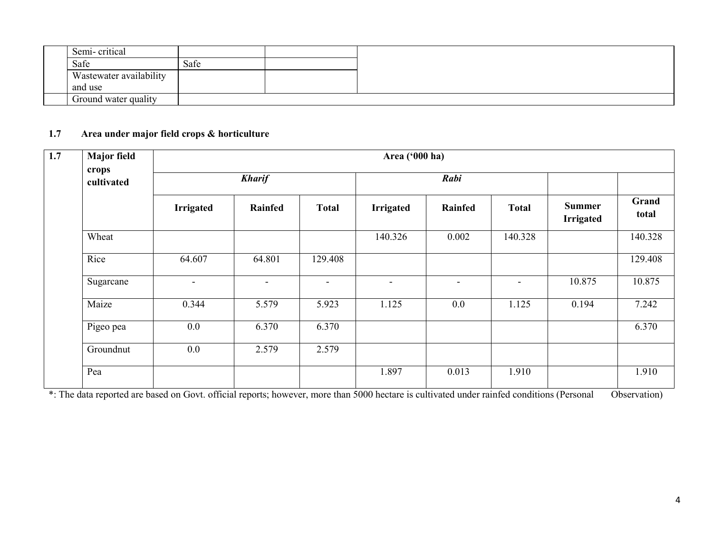| Semi-critical           |      |  |
|-------------------------|------|--|
| Safe                    | Safe |  |
| Wastewater availability |      |  |
| and use                 |      |  |
| Ground water quality    |      |  |

#### 1.7 Area under major field crops & horticulture

| 1.7 | <b>Major field</b>  | Area ('000 ha)   |                |                          |                  |                          |                |                                   |                |
|-----|---------------------|------------------|----------------|--------------------------|------------------|--------------------------|----------------|-----------------------------------|----------------|
|     | crops<br>cultivated |                  | <b>Kharif</b>  |                          |                  | Rabi                     |                |                                   |                |
|     |                     | <b>Irrigated</b> | <b>Rainfed</b> | <b>Total</b>             | <b>Irrigated</b> | Rainfed                  | <b>Total</b>   | <b>Summer</b><br><b>Irrigated</b> | Grand<br>total |
|     | Wheat               |                  |                |                          | 140.326          | 0.002                    | 140.328        |                                   | 140.328        |
|     | Rice                | 64.607           | 64.801         | 129.408                  |                  |                          |                |                                   | 129.408        |
|     | Sugarcane           | $\blacksquare$   | $\blacksquare$ | $\overline{\phantom{a}}$ | $\blacksquare$   | $\overline{\phantom{a}}$ | $\blacksquare$ | 10.875                            | 10.875         |
|     | Maize               | 0.344            | 5.579          | 5.923                    | 1.125            | 0.0                      | 1.125          | 0.194                             | 7.242          |
|     | Pigeo pea           | $0.0\,$          | 6.370          | 6.370                    |                  |                          |                |                                   | 6.370          |
|     | Groundnut           | 0.0              | 2.579          | 2.579                    |                  |                          |                |                                   |                |
|     | Pea                 |                  |                |                          | 1.897            | 0.013                    | 1.910          |                                   | 1.910          |

\*: The data reported are based on Govt. official reports; however, more than 5000 hectare is cultivated under rainfed conditions (Personal Observation)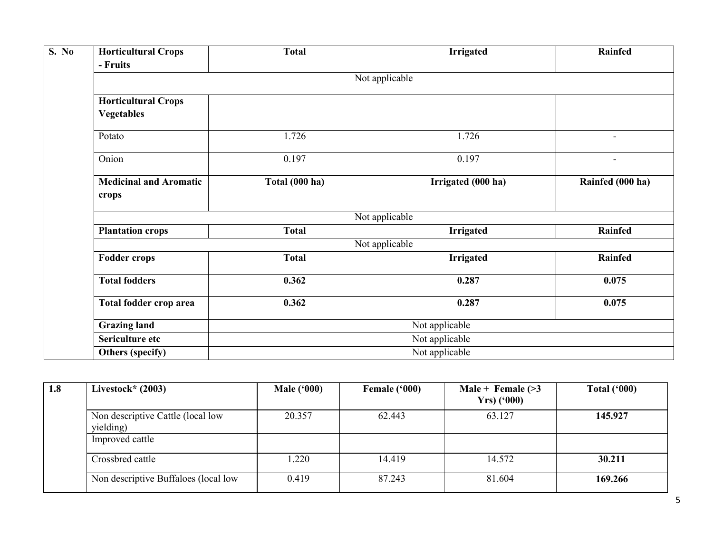| S. No | <b>Horticultural Crops</b>                      | <b>Total</b>   | <b>Irrigated</b>   | Rainfed          |  |  |  |  |  |
|-------|-------------------------------------------------|----------------|--------------------|------------------|--|--|--|--|--|
|       | - Fruits                                        |                |                    |                  |  |  |  |  |  |
|       | Not applicable                                  |                |                    |                  |  |  |  |  |  |
|       | <b>Horticultural Crops</b><br><b>Vegetables</b> |                |                    |                  |  |  |  |  |  |
|       | Potato                                          | 1.726          | 1.726              | $\blacksquare$   |  |  |  |  |  |
|       | Onion                                           | 0.197          | 0.197              |                  |  |  |  |  |  |
|       | <b>Medicinal and Aromatic</b><br>crops          | Total (000 ha) | Irrigated (000 ha) | Rainfed (000 ha) |  |  |  |  |  |
|       | Not applicable                                  |                |                    |                  |  |  |  |  |  |
|       | <b>Plantation crops</b>                         | <b>Total</b>   | <b>Irrigated</b>   | Rainfed          |  |  |  |  |  |
|       | Not applicable                                  |                |                    |                  |  |  |  |  |  |
|       | <b>Fodder crops</b>                             | <b>Total</b>   | <b>Irrigated</b>   | Rainfed          |  |  |  |  |  |
|       | <b>Total fodders</b>                            | 0.362          | 0.287              | 0.075            |  |  |  |  |  |
|       | Total fodder crop area                          | 0.362          | 0.287              | 0.075            |  |  |  |  |  |
|       | <b>Grazing land</b>                             | Not applicable |                    |                  |  |  |  |  |  |
|       | Sericulture etc                                 | Not applicable |                    |                  |  |  |  |  |  |
|       | Others (specify)                                | Not applicable |                    |                  |  |  |  |  |  |

| 1.8 | Livestock* $(2003)$                            | <b>Male ('000)</b> | Female ('000) | Male + Female $(>3)$<br>$Yrs$ ('000) | Total $(900)$ |
|-----|------------------------------------------------|--------------------|---------------|--------------------------------------|---------------|
|     | Non descriptive Cattle (local low<br>yielding) | 20.357             | 62.443        | 63.127                               | 145.927       |
|     | Improved cattle                                |                    |               |                                      |               |
|     | Crossbred cattle                               | .220               | 14.419        | 14.572                               | 30.211        |
|     | Non descriptive Buffaloes (local low           | 0.419              | 87.243        | 81.604                               | 169.266       |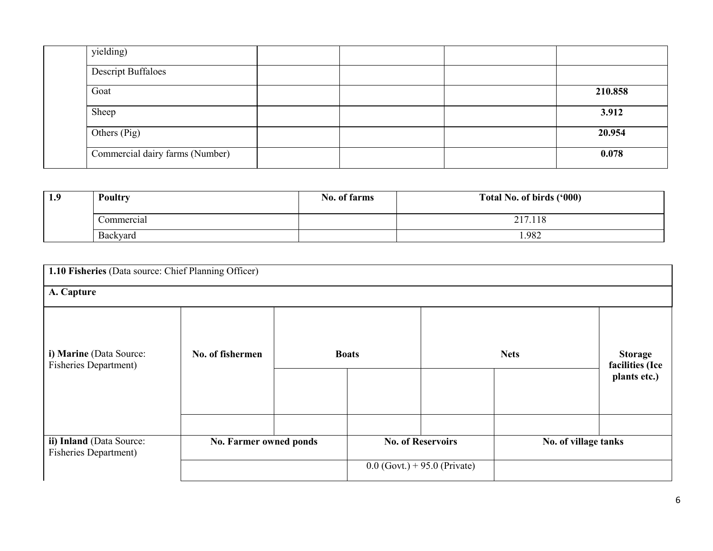| yielding)                       |  |         |
|---------------------------------|--|---------|
| Descript Buffaloes              |  |         |
| Goat                            |  | 210.858 |
| Sheep                           |  | 3.912   |
| Others (Pig)                    |  | 20.954  |
| Commercial dairy farms (Number) |  | 0.078   |

| 1.9 | <b>Poultry</b> | No. of farms | Total No. of birds ('000) |
|-----|----------------|--------------|---------------------------|
|     | Commercial     |              | 217.118                   |
|     | Backyard       |              | 1.982                     |

| 1.10 Fisheries (Data source: Chief Planning Officer)     |                        |  |              |                                |                      |                                                   |  |  |  |
|----------------------------------------------------------|------------------------|--|--------------|--------------------------------|----------------------|---------------------------------------------------|--|--|--|
| A. Capture                                               |                        |  |              |                                |                      |                                                   |  |  |  |
| i) Marine (Data Source:<br><b>Fisheries Department)</b>  | No. of fishermen       |  | <b>Boats</b> |                                | <b>Nets</b>          | <b>Storage</b><br>facilities (Ice<br>plants etc.) |  |  |  |
| ii) Inland (Data Source:<br><b>Fisheries Department)</b> | No. Farmer owned ponds |  |              | <b>No. of Reservoirs</b>       | No. of village tanks |                                                   |  |  |  |
|                                                          |                        |  |              | $0.0$ (Govt.) + 95.0 (Private) |                      |                                                   |  |  |  |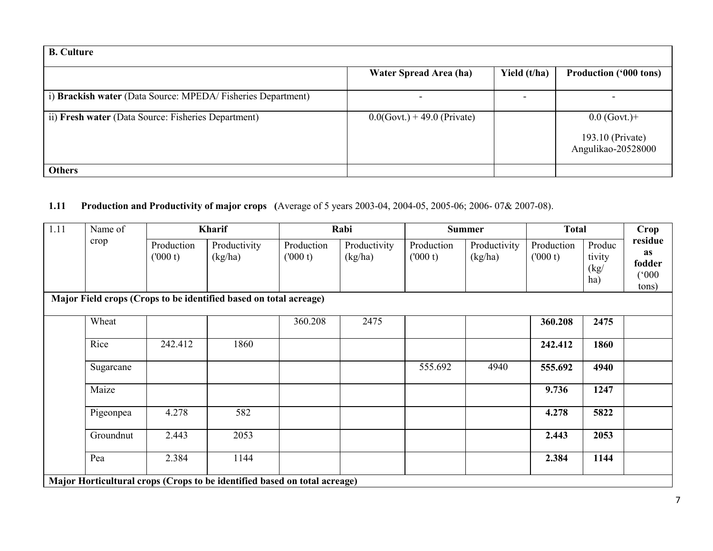| <b>B.</b> Culture                                           |                                |              |                                                          |
|-------------------------------------------------------------|--------------------------------|--------------|----------------------------------------------------------|
|                                                             | Water Spread Area (ha)         | Yield (t/ha) | <b>Production ('000 tons)</b>                            |
| i) Brackish water (Data Source: MPEDA/Fisheries Department) |                                |              |                                                          |
| ii) Fresh water (Data Source: Fisheries Department)         | $0.0$ (Govt.) + 49.0 (Private) |              | $0.0$ (Govt.)+<br>193.10 (Private)<br>Angulikao-20528000 |
| <b>Others</b>                                               |                                |              |                                                          |

#### **1.11** Production and Productivity of major crops (Average of 5 years 2003-04, 2004-05, 2005-06; 2006-07& 2007-08).

| 1.11 | Name of   |                       | Kharif                                                                    |                       | Rabi                    |                       | <b>Summer</b>           | <b>Total</b>          |                                 | Crop                                                     |
|------|-----------|-----------------------|---------------------------------------------------------------------------|-----------------------|-------------------------|-----------------------|-------------------------|-----------------------|---------------------------------|----------------------------------------------------------|
|      | crop      | Production<br>(000 t) | Productivity<br>(kg/ha)                                                   | Production<br>(000 t) | Productivity<br>(kg/ha) | Production<br>(000 t) | Productivity<br>(kg/ha) | Production<br>(000 t) | Produc<br>tivity<br>(kg)<br>ha) | residue<br><b>as</b><br>fodder<br>$000^{\circ}$<br>tons) |
|      |           |                       | Major Field crops (Crops to be identified based on total acreage)         |                       |                         |                       |                         |                       |                                 |                                                          |
|      | Wheat     |                       |                                                                           | 360.208               | 2475                    |                       |                         | 360.208               | 2475                            |                                                          |
|      | Rice      | 242.412               | 1860                                                                      |                       |                         |                       |                         | 242.412               | 1860                            |                                                          |
|      | Sugarcane |                       |                                                                           |                       |                         | 555.692               | 4940                    | 555.692               | 4940                            |                                                          |
|      | Maize     |                       |                                                                           |                       |                         |                       |                         | 9.736                 | 1247                            |                                                          |
|      | Pigeonpea | 4.278                 | 582                                                                       |                       |                         |                       |                         | 4.278                 | 5822                            |                                                          |
|      | Groundnut | 2.443                 | 2053                                                                      |                       |                         |                       |                         | 2.443                 | 2053                            |                                                          |
|      | Pea       | 2.384                 | 1144                                                                      |                       |                         |                       |                         | 2.384                 | 1144                            |                                                          |
|      |           |                       | Major Horticultural crops (Crops to be identified based on total acreage) |                       |                         |                       |                         |                       |                                 |                                                          |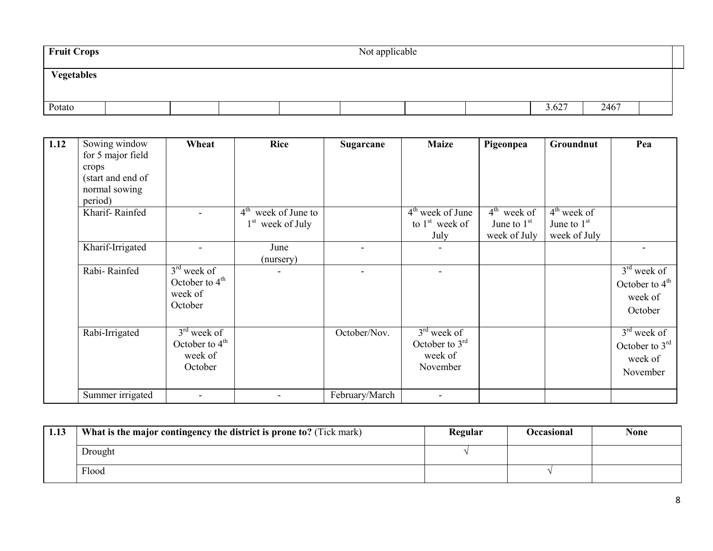| <b>Fruit Crops</b> | Not applicable |  |  |  |  |  |       |      |  |
|--------------------|----------------|--|--|--|--|--|-------|------|--|
| Vegetables         |                |  |  |  |  |  |       |      |  |
| Potato             |                |  |  |  |  |  | 3.627 | 2467 |  |

| 1.12 | Sowing window     | Wheat            | <b>Rice</b>           | Sugarcane      | <b>Maize</b>       | Pigeonpea     | Groundnut     | Pea              |
|------|-------------------|------------------|-----------------------|----------------|--------------------|---------------|---------------|------------------|
|      | for 5 major field |                  |                       |                |                    |               |               |                  |
|      | crops             |                  |                       |                |                    |               |               |                  |
|      | (start and end of |                  |                       |                |                    |               |               |                  |
|      | normal sowing     |                  |                       |                |                    |               |               |                  |
|      | period)           |                  |                       |                |                    |               |               |                  |
|      | Kharif-Rainfed    |                  | $4th$ week of June to |                | $4th$ week of June | $4th$ week of | $4th$ week of |                  |
|      |                   |                  | $1st$ week of July    |                | to $1st$ week of   | June to $1st$ | June to $1st$ |                  |
|      |                   |                  |                       |                | July               | week of July  | week of July  |                  |
|      | Kharif-Irrigated  |                  | June                  |                |                    |               |               |                  |
|      |                   |                  | (nursery)             |                |                    |               |               |                  |
|      | Rabi-Rainfed      | $3rd$ week of    |                       |                |                    |               |               | $3rd$ week of    |
|      |                   | October to $4th$ |                       |                |                    |               |               | October to $4th$ |
|      |                   | week of          |                       |                |                    |               |               | week of          |
|      |                   | October          |                       |                |                    |               |               | October          |
|      |                   |                  |                       |                |                    |               |               |                  |
|      | Rabi-Irrigated    | $3rd$ week of    |                       | October/Nov.   | $3rd$ week of      |               |               | $3rd$ week of    |
|      |                   | October to $4th$ |                       |                | October to $3rd$   |               |               | October to $3rd$ |
|      |                   | week of          |                       |                | week of            |               |               | week of          |
|      |                   | October          |                       |                | November           |               |               |                  |
|      |                   |                  |                       |                |                    |               |               | November         |
|      | Summer irrigated  | $\blacksquare$   |                       | February/March | $\sim$             |               |               |                  |

| 1.13 | What is the major contingency the district is prone to? (Tick mark) | Regular | Occasional | None |
|------|---------------------------------------------------------------------|---------|------------|------|
|      | Drought                                                             |         |            |      |
|      | Flood                                                               |         |            |      |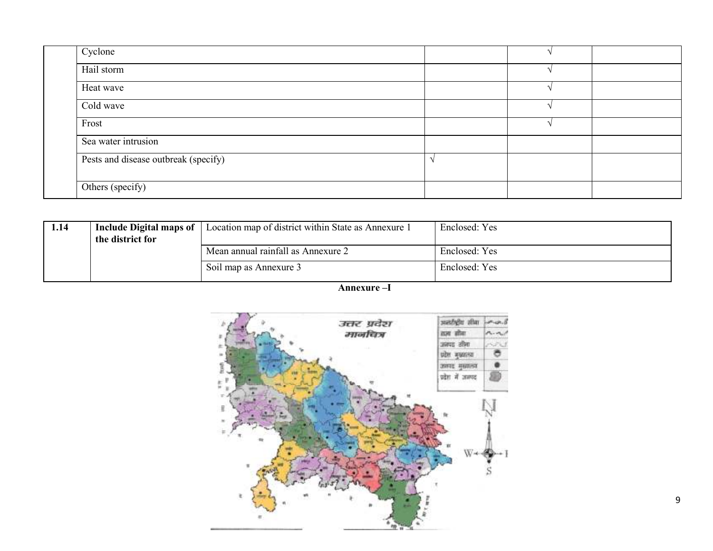| Cyclone                              |  |  |
|--------------------------------------|--|--|
| Hail storm                           |  |  |
| Heat wave                            |  |  |
| Cold wave                            |  |  |
| Frost                                |  |  |
| Sea water intrusion                  |  |  |
| Pests and disease outbreak (specify) |  |  |
| Others (specify)                     |  |  |

| 1.14 | Include Digital maps of<br>the district for | Location map of district within State as Annexure 1 | Enclosed: Yes |
|------|---------------------------------------------|-----------------------------------------------------|---------------|
|      |                                             | Mean annual rainfall as Annexure 2                  | Enclosed: Yes |
|      |                                             | Soil map as Annexure 3                              | Enclosed: Yes |

Annexure –I

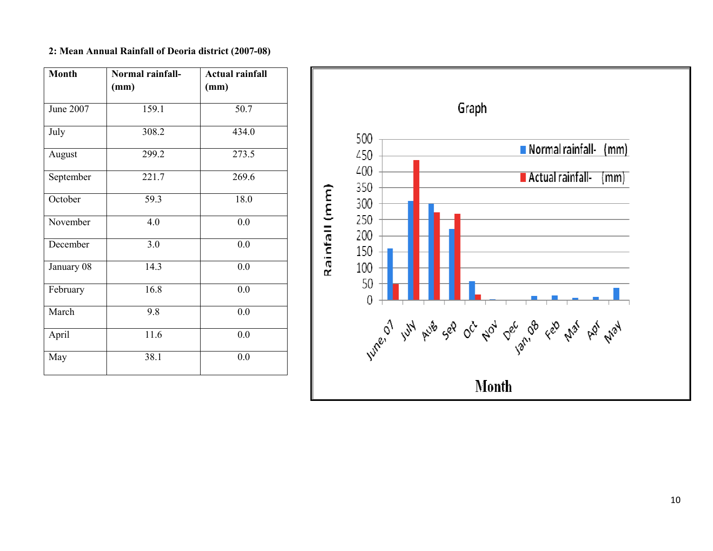#### 2: Mean Annual Rainfall of Deoria district (2007-08)

| <b>Month</b> | Normal rainfall- | <b>Actual rainfall</b> |
|--------------|------------------|------------------------|
|              | (mm)             | (mm)                   |
| June 2007    | 159.1            | 50.7                   |
| July         | 308.2            | 434.0                  |
| August       | 299.2            | 273.5                  |
| September    | 221.7            | 269.6                  |
| October      | 59.3             | 18.0                   |
| November     | 4.0              | 0.0                    |
| December     | 3.0              | 0.0                    |
| January 08   | 14.3             | 0.0                    |
| February     | 16.8             | 0.0                    |
| March        | 9.8              | 0.0                    |
| April        | 11.6             | 0.0                    |
| May          | 38.1             | 0.0                    |

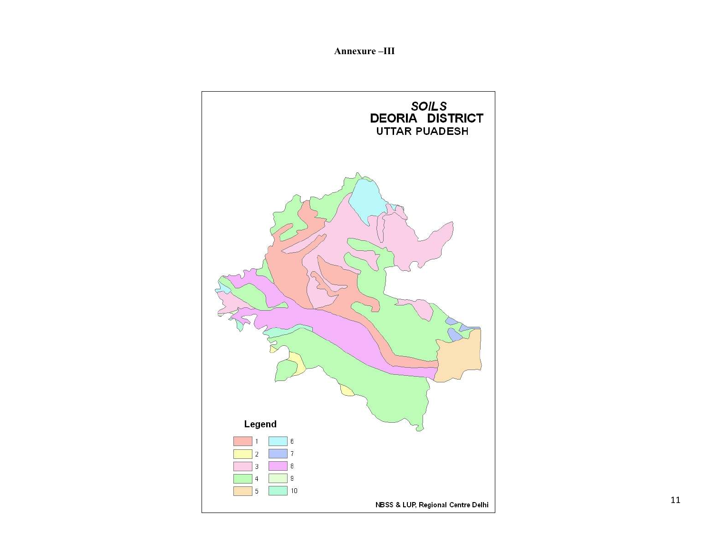Annexure –III

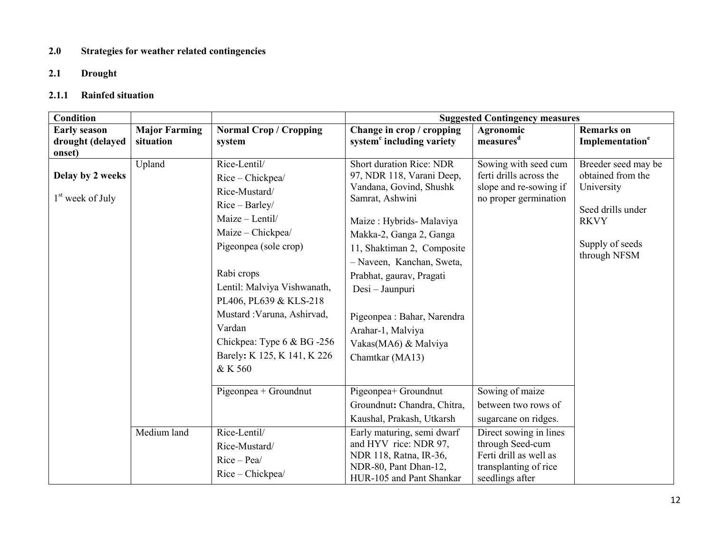#### 2.0 Strategies for weather related contingencies

## 2.1 Drought

#### 2.1.1 Rainfed situation

| Condition                                        |                      |                                                                                                                                                                                                                                                                                                                                | <b>Suggested Contingency measures</b>                                                                                                                                                                                                                                                                                                                                      |                                                                                                                  |                                                                                                                               |  |
|--------------------------------------------------|----------------------|--------------------------------------------------------------------------------------------------------------------------------------------------------------------------------------------------------------------------------------------------------------------------------------------------------------------------------|----------------------------------------------------------------------------------------------------------------------------------------------------------------------------------------------------------------------------------------------------------------------------------------------------------------------------------------------------------------------------|------------------------------------------------------------------------------------------------------------------|-------------------------------------------------------------------------------------------------------------------------------|--|
| <b>Early season</b>                              | <b>Major Farming</b> | <b>Normal Crop / Cropping</b>                                                                                                                                                                                                                                                                                                  | Change in crop / cropping                                                                                                                                                                                                                                                                                                                                                  | Agronomic                                                                                                        | <b>Remarks</b> on                                                                                                             |  |
| drought (delayed                                 | situation            | system                                                                                                                                                                                                                                                                                                                         | system <sup>c</sup> including variety                                                                                                                                                                                                                                                                                                                                      | measures <sup>d</sup>                                                                                            | Implementation <sup>e</sup>                                                                                                   |  |
| onset)<br>Delay by 2 weeks<br>$1st$ week of July | Upland               | Rice-Lentil/<br>Rice - Chickpea/<br>Rice-Mustard/<br>Rice - Barley/<br>Maize - Lentil/<br>Maize - Chickpea/<br>Pigeonpea (sole crop)<br>Rabi crops<br>Lentil: Malviya Vishwanath,<br>PL406, PL639 & KLS-218<br>Mustard : Varuna, Ashirvad,<br>Vardan<br>Chickpea: Type $6 & BG -256$<br>Barely: K 125, K 141, K 226<br>& K 560 | <b>Short duration Rice: NDR</b><br>97, NDR 118, Varani Deep,<br>Vandana, Govind, Shushk<br>Samrat, Ashwini<br>Maize: Hybrids- Malaviya<br>Makka-2, Ganga 2, Ganga<br>11, Shaktiman 2, Composite<br>- Naveen, Kanchan, Sweta,<br>Prabhat, gaurav, Pragati<br>Desi - Jaunpuri<br>Pigeonpea : Bahar, Narendra<br>Arahar-1, Malviya<br>Vakas(MA6) & Malviya<br>Chamtkar (MA13) | Sowing with seed cum<br>ferti drills across the<br>slope and re-sowing if<br>no proper germination               | Breeder seed may be<br>obtained from the<br>University<br>Seed drills under<br><b>RKVY</b><br>Supply of seeds<br>through NFSM |  |
|                                                  |                      | $Pigeonpea + Groundnut$                                                                                                                                                                                                                                                                                                        | Pigeonpea+ Groundnut<br>Groundnut: Chandra, Chitra,<br>Kaushal, Prakash, Utkarsh                                                                                                                                                                                                                                                                                           | Sowing of maize<br>between two rows of<br>sugarcane on ridges.                                                   |                                                                                                                               |  |
|                                                  | Medium land          | Rice-Lentil/<br>Rice-Mustard/<br>$Rice-Pea/$<br>Rice - Chickpea/                                                                                                                                                                                                                                                               | Early maturing, semi dwarf<br>and HYV rice: NDR 97,<br>NDR 118, Ratna, IR-36,<br>NDR-80, Pant Dhan-12,<br>HUR-105 and Pant Shankar                                                                                                                                                                                                                                         | Direct sowing in lines<br>through Seed-cum<br>Ferti drill as well as<br>transplanting of rice<br>seedlings after |                                                                                                                               |  |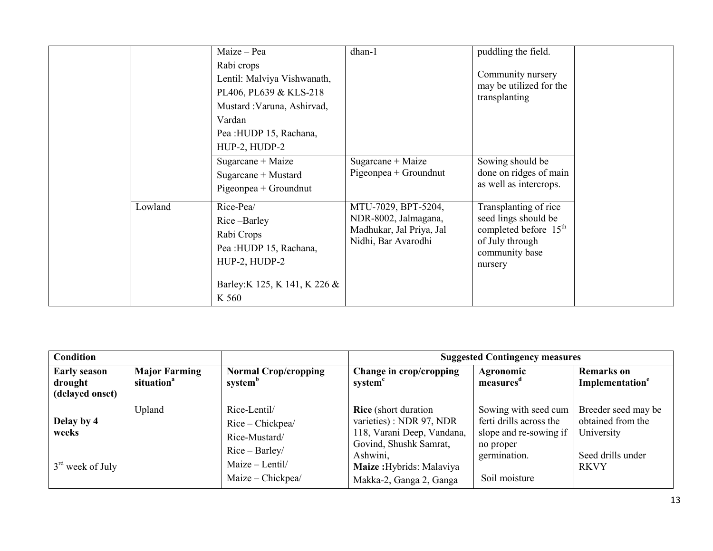| Maize - Pea<br>Rabi crops<br>Vardan<br>Pea : HUDP 15, Rachana,<br>HUP-2, HUDP-2                        | dhan-1<br>Lentil: Malviya Vishwanath,<br>PL406, PL639 & KLS-218<br>Mustard : Varuna, Ashirvad,                                  | puddling the field.<br>Community nursery<br>may be utilized for the<br>transplanting                                               |
|--------------------------------------------------------------------------------------------------------|---------------------------------------------------------------------------------------------------------------------------------|------------------------------------------------------------------------------------------------------------------------------------|
| Sugarcane + Maize<br>Sugarcane + Mustard<br>Pigeonpea + Groundnut                                      | Sugarcane + Maize<br>Pigeonpea + Groundnut                                                                                      | Sowing should be<br>done on ridges of main<br>as well as intercrops.                                                               |
| Lowland<br>Rice-Pea/<br>Rice-Barley<br>Rabi Crops<br>Pea : HUDP 15, Rachana,<br>HUP-2, HUDP-2<br>K 560 | MTU-7029, BPT-5204,<br>NDR-8002, Jalmagana,<br>Madhukar, Jal Priya, Jal<br>Nidhi, Bar Avarodhi<br>Barley: K 125, K 141, K 226 & | Transplanting of rice<br>seed lings should be<br>completed before 15 <sup>th</sup><br>of July through<br>community base<br>nursery |

| <b>Condition</b>                                  |                                                |                                                                                                             | <b>Suggested Contingency measures</b>                                                                                                                                               |                                                                                                                         |                                                                                            |  |  |
|---------------------------------------------------|------------------------------------------------|-------------------------------------------------------------------------------------------------------------|-------------------------------------------------------------------------------------------------------------------------------------------------------------------------------------|-------------------------------------------------------------------------------------------------------------------------|--------------------------------------------------------------------------------------------|--|--|
| <b>Early season</b><br>drought<br>(delayed onset) | <b>Major Farming</b><br>situation <sup>a</sup> | <b>Normal Crop/cropping</b><br>system <sup>b</sup>                                                          | Change in crop/cropping<br>system <sup>c</sup>                                                                                                                                      | Agronomic<br>measures <sup>d</sup>                                                                                      | <b>Remarks</b> on<br>Implementation <sup>e</sup>                                           |  |  |
| Delay by 4<br>weeks<br>$3rd$ week of July         | Upland                                         | Rice-Lentil/<br>Rice – Chickpea/<br>Rice-Mustard/<br>$Rice-Barley/$<br>Maize - Lentil/<br>Maize - Chickpea/ | <b>Rice</b> (short duration)<br>varieties) : NDR 97, NDR<br>118, Varani Deep, Vandana,<br>Govind, Shushk Samrat,<br>Ashwini,<br>Maize: Hybrids: Malaviya<br>Makka-2, Ganga 2, Ganga | Sowing with seed cum<br>ferti drills across the<br>slope and re-sowing if<br>no proper<br>germination.<br>Soil moisture | Breeder seed may be<br>obtained from the<br>University<br>Seed drills under<br><b>RKVY</b> |  |  |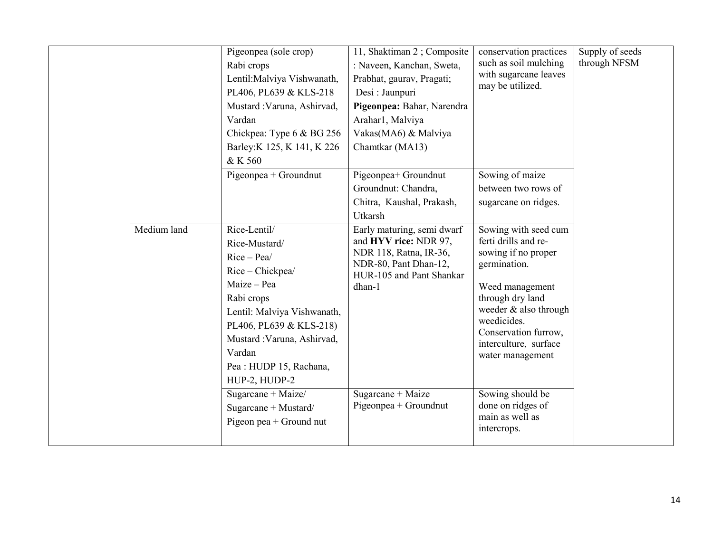|             | Pigeonpea (sole crop)                                                                                                                                                                                                                        | 11, Shaktiman 2; Composite                                                                                                                   | conservation practices                                                                                                                                                                                                                  | Supply of seeds |
|-------------|----------------------------------------------------------------------------------------------------------------------------------------------------------------------------------------------------------------------------------------------|----------------------------------------------------------------------------------------------------------------------------------------------|-----------------------------------------------------------------------------------------------------------------------------------------------------------------------------------------------------------------------------------------|-----------------|
|             | Rabi crops                                                                                                                                                                                                                                   | : Naveen, Kanchan, Sweta,                                                                                                                    | such as soil mulching                                                                                                                                                                                                                   | through NFSM    |
|             | Lentil: Malviya Vishwanath,                                                                                                                                                                                                                  | Prabhat, gaurav, Pragati;                                                                                                                    | with sugarcane leaves<br>may be utilized.                                                                                                                                                                                               |                 |
|             | PL406, PL639 & KLS-218                                                                                                                                                                                                                       | Desi: Jaunpuri                                                                                                                               |                                                                                                                                                                                                                                         |                 |
|             | Mustard : Varuna, Ashirvad,                                                                                                                                                                                                                  | Pigeonpea: Bahar, Narendra                                                                                                                   |                                                                                                                                                                                                                                         |                 |
|             | Vardan                                                                                                                                                                                                                                       | Arahar1, Malviya                                                                                                                             |                                                                                                                                                                                                                                         |                 |
|             | Chickpea: Type 6 & BG 256                                                                                                                                                                                                                    | Vakas(MA6) & Malviya                                                                                                                         |                                                                                                                                                                                                                                         |                 |
|             | Barley: K 125, K 141, K 226                                                                                                                                                                                                                  | Chamtkar (MA13)                                                                                                                              |                                                                                                                                                                                                                                         |                 |
|             | & K 560                                                                                                                                                                                                                                      |                                                                                                                                              |                                                                                                                                                                                                                                         |                 |
|             | Pigeonpea + Groundnut                                                                                                                                                                                                                        | Pigeonpea+ Groundnut                                                                                                                         | Sowing of maize                                                                                                                                                                                                                         |                 |
|             |                                                                                                                                                                                                                                              | Groundnut: Chandra,                                                                                                                          | between two rows of                                                                                                                                                                                                                     |                 |
|             |                                                                                                                                                                                                                                              | Chitra, Kaushal, Prakash,                                                                                                                    | sugarcane on ridges.                                                                                                                                                                                                                    |                 |
|             |                                                                                                                                                                                                                                              | Utkarsh                                                                                                                                      |                                                                                                                                                                                                                                         |                 |
| Medium land | Rice-Lentil/<br>Rice-Mustard/<br>$Rice-Pea/$<br>Rice - Chickpea/<br>Maize - Pea<br>Rabi crops<br>Lentil: Malviya Vishwanath,<br>PL406, PL639 & KLS-218)<br>Mustard : Varuna, Ashirvad,<br>Vardan<br>Pea : HUDP 15, Rachana,<br>HUP-2, HUDP-2 | Early maturing, semi dwarf<br>and HYV rice: NDR 97,<br>NDR 118, Ratna, IR-36,<br>NDR-80, Pant Dhan-12,<br>HUR-105 and Pant Shankar<br>dhan-1 | Sowing with seed cum<br>ferti drills and re-<br>sowing if no proper<br>germination.<br>Weed management<br>through dry land<br>weeder & also through<br>weedicides.<br>Conservation furrow,<br>interculture, surface<br>water management |                 |
|             | Sugarcane + Maize/<br>Sugarcane + Mustard/<br>Pigeon pea + Ground nut                                                                                                                                                                        | Sugarcane + Maize<br>$Pigeonpea + Groundnut$                                                                                                 | Sowing should be<br>done on ridges of<br>main as well as<br>intercrops.                                                                                                                                                                 |                 |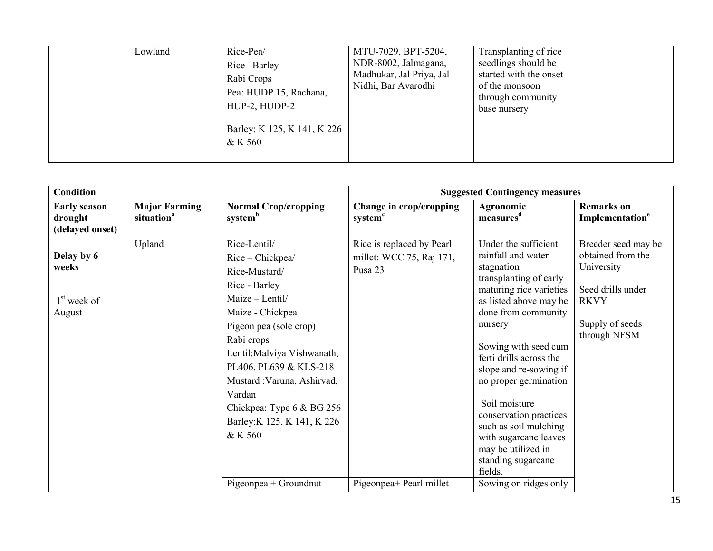|  | Lowland | Rice-Pea/<br>Rice-Barley<br>Rabi Crops<br>Pea: HUDP 15, Rachana,<br>HUP-2, HUDP-2<br>Barley: K 125, K 141, K 226<br>& K 560 | MTU-7029, BPT-5204,<br>NDR-8002, Jalmagana,<br>Madhukar, Jal Priya, Jal<br>Nidhi, Bar Avarodhi | Transplanting of rice<br>seedlings should be<br>started with the onset<br>of the monsoon<br>through community<br>base nursery |  |
|--|---------|-----------------------------------------------------------------------------------------------------------------------------|------------------------------------------------------------------------------------------------|-------------------------------------------------------------------------------------------------------------------------------|--|
|--|---------|-----------------------------------------------------------------------------------------------------------------------------|------------------------------------------------------------------------------------------------|-------------------------------------------------------------------------------------------------------------------------------|--|

| <b>Condition</b>                                  |                                                |                                                                                                                                                                                                                                                                                                                            |                                                                  | <b>Suggested Contingency measures</b>                                                                                                                                                                                                                                                                                                                                                                                               |                                                                                                                               |
|---------------------------------------------------|------------------------------------------------|----------------------------------------------------------------------------------------------------------------------------------------------------------------------------------------------------------------------------------------------------------------------------------------------------------------------------|------------------------------------------------------------------|-------------------------------------------------------------------------------------------------------------------------------------------------------------------------------------------------------------------------------------------------------------------------------------------------------------------------------------------------------------------------------------------------------------------------------------|-------------------------------------------------------------------------------------------------------------------------------|
| <b>Early season</b><br>drought<br>(delayed onset) | <b>Major Farming</b><br>situation <sup>a</sup> | <b>Normal Crop/cropping</b><br>system <sup>b</sup>                                                                                                                                                                                                                                                                         | Change in crop/cropping<br>system <sup>c</sup>                   | Agronomic<br>measures <sup>d</sup>                                                                                                                                                                                                                                                                                                                                                                                                  | <b>Remarks</b> on<br>Implementation <sup>e</sup>                                                                              |
| Delay by 6<br>weeks<br>$1st$ week of<br>August    | Upland                                         | Rice-Lentil/<br>Rice - Chickpea/<br>Rice-Mustard/<br>Rice - Barley<br>Maize - Lentil/<br>Maize - Chickpea<br>Pigeon pea (sole crop)<br>Rabi crops<br>Lentil: Malviya Vishwanath,<br>PL406, PL639 & KLS-218<br>Mustard : Varuna, Ashirvad,<br>Vardan<br>Chickpea: Type 6 & BG 256<br>Barley: K 125, K 141, K 226<br>& K 560 | Rice is replaced by Pearl<br>millet: WCC 75, Raj 171,<br>Pusa 23 | Under the sufficient<br>rainfall and water<br>stagnation<br>transplanting of early<br>maturing rice varieties<br>as listed above may be<br>done from community<br>nursery<br>Sowing with seed cum<br>ferti drills across the<br>slope and re-sowing if<br>no proper germination<br>Soil moisture<br>conservation practices<br>such as soil mulching<br>with sugarcane leaves<br>may be utilized in<br>standing sugarcane<br>fields. | Breeder seed may be<br>obtained from the<br>University<br>Seed drills under<br><b>RKVY</b><br>Supply of seeds<br>through NFSM |
|                                                   |                                                | Pigeonpea + Groundnut                                                                                                                                                                                                                                                                                                      | Pigeonpea+ Pearl millet                                          | Sowing on ridges only                                                                                                                                                                                                                                                                                                                                                                                                               |                                                                                                                               |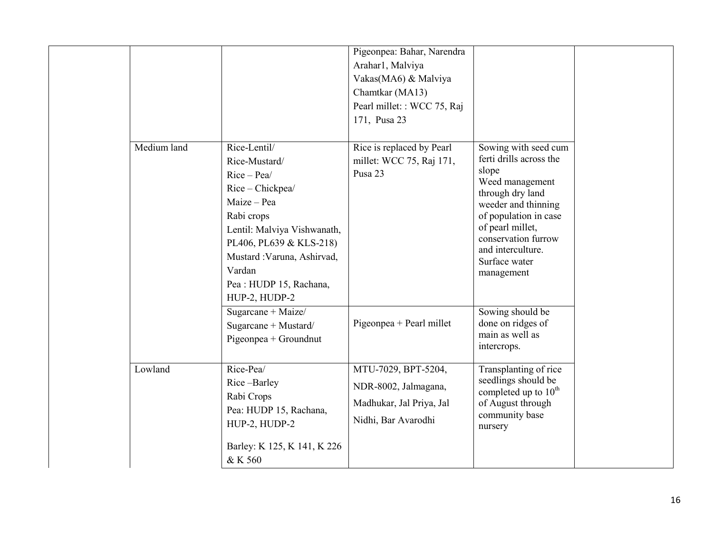|             |                                                                                                                                                                                                                                              | Pigeonpea: Bahar, Narendra<br>Arahar1, Malviya<br>Vakas(MA6) & Malviya<br>Chamtkar (MA13)<br>Pearl millet: : WCC 75, Raj<br>171, Pusa 23 |                                                                                                                                                                                                                                                |
|-------------|----------------------------------------------------------------------------------------------------------------------------------------------------------------------------------------------------------------------------------------------|------------------------------------------------------------------------------------------------------------------------------------------|------------------------------------------------------------------------------------------------------------------------------------------------------------------------------------------------------------------------------------------------|
| Medium land | Rice-Lentil/<br>Rice-Mustard/<br>$Rice-Pea/$<br>Rice - Chickpea/<br>Maize - Pea<br>Rabi crops<br>Lentil: Malviya Vishwanath,<br>PL406, PL639 & KLS-218)<br>Mustard : Varuna, Ashirvad,<br>Vardan<br>Pea : HUDP 15, Rachana,<br>HUP-2, HUDP-2 | Rice is replaced by Pearl<br>millet: WCC 75, Raj 171,<br>Pusa 23                                                                         | Sowing with seed cum<br>ferti drills across the<br>slope<br>Weed management<br>through dry land<br>weeder and thinning<br>of population in case<br>of pearl millet,<br>conservation furrow<br>and interculture.<br>Surface water<br>management |
|             | Sugarcane + Maize/<br>Sugarcane + Mustard/<br>Pigeonpea + Groundnut                                                                                                                                                                          | Pigeonpea + Pearl millet                                                                                                                 | Sowing should be<br>done on ridges of<br>main as well as<br>intercrops.                                                                                                                                                                        |
| Lowland     | Rice-Pea/<br>Rice-Barley<br>Rabi Crops<br>Pea: HUDP 15, Rachana,<br>HUP-2, HUDP-2<br>Barley: K 125, K 141, K 226<br>& K 560                                                                                                                  | MTU-7029, BPT-5204,<br>NDR-8002, Jalmagana,<br>Madhukar, Jal Priya, Jal<br>Nidhi, Bar Avarodhi                                           | Transplanting of rice<br>seedlings should be<br>completed up to 10 <sup>th</sup><br>of August through<br>community base<br>nursery                                                                                                             |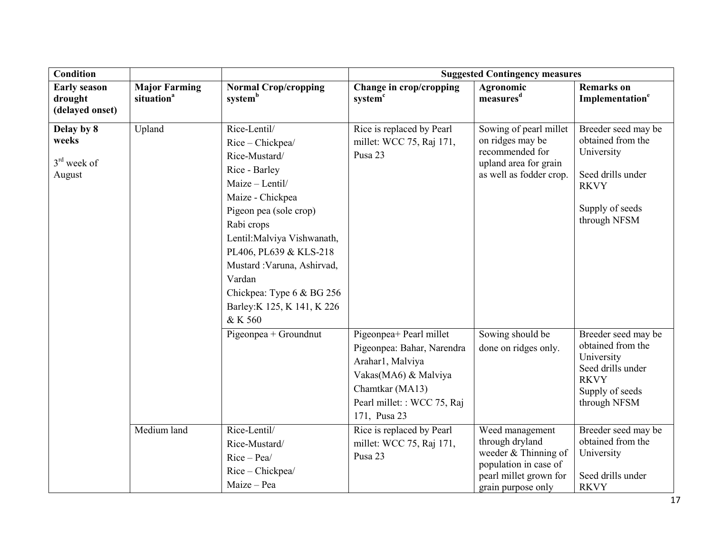| <b>Condition</b>                                  |                                                |                                                                                                                                                                                                                                                                                                                              | <b>Suggested Contingency measures</b>                                                                                                                                                                                                   |                                                                                                                   |                                                                                                                                                                                         |  |
|---------------------------------------------------|------------------------------------------------|------------------------------------------------------------------------------------------------------------------------------------------------------------------------------------------------------------------------------------------------------------------------------------------------------------------------------|-----------------------------------------------------------------------------------------------------------------------------------------------------------------------------------------------------------------------------------------|-------------------------------------------------------------------------------------------------------------------|-----------------------------------------------------------------------------------------------------------------------------------------------------------------------------------------|--|
| <b>Early season</b><br>drought<br>(delayed onset) | <b>Major Farming</b><br>situation <sup>a</sup> | <b>Normal Crop/cropping</b><br>systemb                                                                                                                                                                                                                                                                                       | Change in crop/cropping<br>system <sup>c</sup>                                                                                                                                                                                          | Agronomic<br>measures <sup>d</sup>                                                                                | <b>Remarks</b> on<br>Implementation <sup>e</sup>                                                                                                                                        |  |
| Delay by 8<br>weeks<br>$3rd$ week of<br>August    | Upland                                         | Rice-Lentil/<br>Rice - Chickpea/<br>Rice-Mustard/<br>Rice - Barley<br>$Maize - Lentil/$<br>Maize - Chickpea<br>Pigeon pea (sole crop)<br>Rabi crops<br>Lentil: Malviya Vishwanath,<br>PL406, PL639 & KLS-218<br>Mustard : Varuna, Ashirvad,<br>Vardan<br>Chickpea: Type 6 & BG 256<br>Barley: K 125, K 141, K 226<br>& K 560 | Rice is replaced by Pearl<br>millet: WCC 75, Raj 171,<br>Pusa 23                                                                                                                                                                        | Sowing of pearl millet<br>on ridges may be<br>recommended for<br>upland area for grain<br>as well as fodder crop. | Breeder seed may be<br>obtained from the<br>University<br>Seed drills under<br><b>RKVY</b><br>Supply of seeds<br>through NFSM                                                           |  |
|                                                   | Medium land                                    | Pigeonpea + Groundnut<br>Rice-Lentil/<br>Rice-Mustard/<br>$Rice-Pea/$                                                                                                                                                                                                                                                        | Pigeonpea+ Pearl millet<br>Pigeonpea: Bahar, Narendra<br>Arahar1, Malviya<br>Vakas(MA6) & Malviya<br>Chamtkar (MA13)<br>Pearl millet: : WCC 75, Raj<br>171, Pusa 23<br>Rice is replaced by Pearl<br>millet: WCC 75, Raj 171,<br>Pusa 23 | Sowing should be<br>done on ridges only.<br>Weed management<br>through dryland<br>weeder & Thinning of            | Breeder seed may be<br>obtained from the<br>University<br>Seed drills under<br><b>RKVY</b><br>Supply of seeds<br>through NFSM<br>Breeder seed may be<br>obtained from the<br>University |  |
|                                                   |                                                | Rice - Chickpea/<br>Maize - Pea                                                                                                                                                                                                                                                                                              |                                                                                                                                                                                                                                         | population in case of<br>pearl millet grown for<br>grain purpose only                                             | Seed drills under<br><b>RKVY</b>                                                                                                                                                        |  |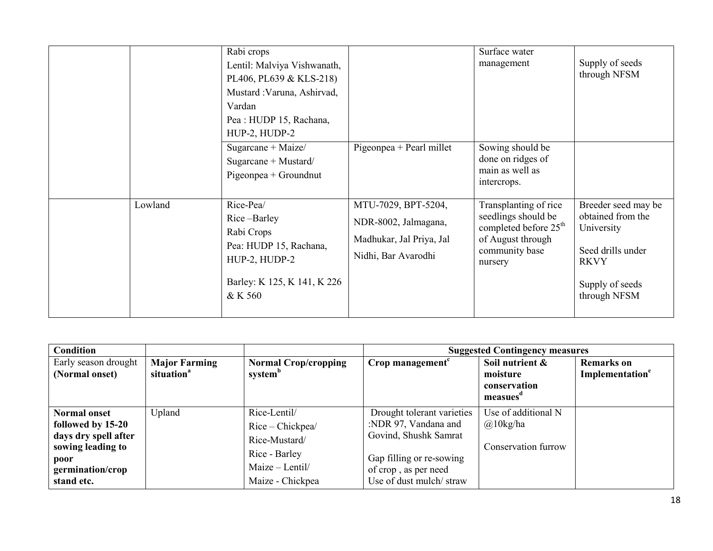|         | Rabi crops<br>Lentil: Malviya Vishwanath,<br>PL406, PL639 & KLS-218)<br>Mustard : Varuna, Ashirvad,<br>Vardan<br>Pea : HUDP 15, Rachana,<br>HUP-2, HUDP-2 |                                                                                                | Surface water<br>management                                                                                                         | Supply of seeds<br>through NFSM                                                                                               |
|---------|-----------------------------------------------------------------------------------------------------------------------------------------------------------|------------------------------------------------------------------------------------------------|-------------------------------------------------------------------------------------------------------------------------------------|-------------------------------------------------------------------------------------------------------------------------------|
|         | Sugarcane + Maize/<br>Sugarcane + Mustard/<br>Pigeonpea + Groundnut                                                                                       | Pigeonpea + Pearl millet                                                                       | Sowing should be<br>done on ridges of<br>main as well as<br>intercrops.                                                             |                                                                                                                               |
| Lowland | Rice-Pea/<br>Rice-Barley<br>Rabi Crops<br>Pea: HUDP 15, Rachana,<br>HUP-2, HUDP-2<br>Barley: K 125, K 141, K 226<br>& K 560                               | MTU-7029, BPT-5204,<br>NDR-8002, Jalmagana,<br>Madhukar, Jal Priya, Jal<br>Nidhi, Bar Avarodhi | Transplanting of rice<br>seedlings should be<br>completed before 25 <sup>th</sup><br>of August through<br>community base<br>nursery | Breeder seed may be<br>obtained from the<br>University<br>Seed drills under<br><b>RKVY</b><br>Supply of seeds<br>through NFSM |

| <b>Condition</b>                                                                                                                |                                                |                                                                                                           |                                                                                                                                                            | <b>Suggested Contingency measures</b>                          |                                                  |
|---------------------------------------------------------------------------------------------------------------------------------|------------------------------------------------|-----------------------------------------------------------------------------------------------------------|------------------------------------------------------------------------------------------------------------------------------------------------------------|----------------------------------------------------------------|--------------------------------------------------|
| Early season drought<br>(Normal onset)                                                                                          | <b>Major Farming</b><br>situation <sup>a</sup> | <b>Normal Crop/cropping</b><br>system <sup>b</sup>                                                        | Crop management $c$                                                                                                                                        | Soil nutrient &<br>moisture<br>conservation<br>measues         | <b>Remarks</b> on<br>Implementation <sup>e</sup> |
| <b>Normal onset</b><br>followed by 15-20<br>days dry spell after<br>sowing leading to<br>poor<br>germination/crop<br>stand etc. | Upland                                         | Rice-Lentil/<br>Rice – Chickpea/<br>Rice-Mustard/<br>Rice - Barley<br>Maize - Lentil/<br>Maize - Chickpea | Drought tolerant varieties<br>:NDR 97, Vandana and<br>Govind, Shushk Samrat<br>Gap filling or re-sowing<br>of crop, as per need<br>Use of dust mulch/straw | Use of additional N<br>$\omega$ 10kg/ha<br>Conservation furrow |                                                  |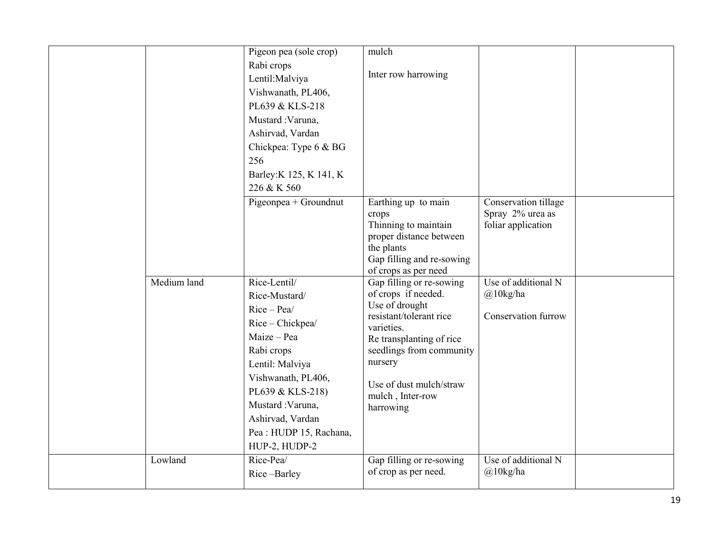|             | Pigeon pea (sole crop)<br>Rabi crops<br>Lentil: Malviya<br>Vishwanath, PL406,<br>PL639 & KLS-218<br>Mustard : Varuna,<br>Ashirvad, Vardan<br>Chickpea: Type 6 & BG<br>256<br>Barley: K 125, K 141, K<br>226 & K 560                            | mulch<br>Inter row harrowing                                                                                                                                                                                                              |                                                                |  |
|-------------|------------------------------------------------------------------------------------------------------------------------------------------------------------------------------------------------------------------------------------------------|-------------------------------------------------------------------------------------------------------------------------------------------------------------------------------------------------------------------------------------------|----------------------------------------------------------------|--|
|             | Pigeonpea + Groundnut                                                                                                                                                                                                                          | Earthing up to main<br>crops<br>Thinning to maintain<br>proper distance between<br>the plants<br>Gap filling and re-sowing<br>of crops as per need                                                                                        | Conservation tillage<br>Spray 2% urea as<br>foliar application |  |
| Medium land | Rice-Lentil/<br>Rice-Mustard/<br>$Rice-Pea/$<br>Rice - Chickpea/<br>Maize - Pea<br>Rabi crops<br>Lentil: Malviya<br>Vishwanath, PL406,<br>PL639 & KLS-218)<br>Mustard: Varuna,<br>Ashirvad, Vardan<br>Pea : HUDP 15, Rachana,<br>HUP-2, HUDP-2 | Gap filling or re-sowing<br>of crops if needed.<br>Use of drought<br>resistant/tolerant rice<br>varieties.<br>Re transplanting of rice<br>seedlings from community<br>nursery<br>Use of dust mulch/straw<br>mulch, Inter-row<br>harrowing | Use of additional N<br>@10kg/ha<br><b>Conservation furrow</b>  |  |
| Lowland     | Rice-Pea/<br>Rice-Barley                                                                                                                                                                                                                       | Gap filling or re-sowing<br>of crop as per need.                                                                                                                                                                                          | Use of additional N<br>@10kg/ha                                |  |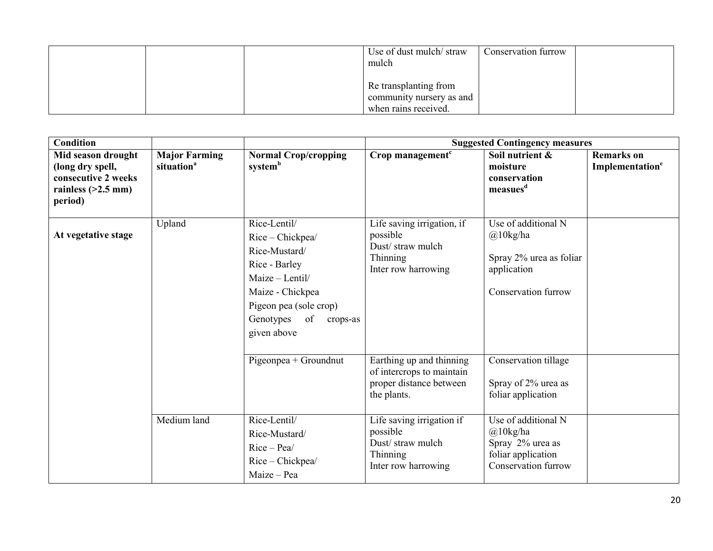| Use of dust mulch/straw<br>mulch                                          | Conservation furrow |
|---------------------------------------------------------------------------|---------------------|
| Re transplanting from<br>community nursery as and<br>when rains received. |                     |

| <b>Condition</b>                                                                                 |                                                |                                                                                                                                                                                |                                                                                                                                          | <b>Suggested Contingency measures</b>                                                                      |                                                  |
|--------------------------------------------------------------------------------------------------|------------------------------------------------|--------------------------------------------------------------------------------------------------------------------------------------------------------------------------------|------------------------------------------------------------------------------------------------------------------------------------------|------------------------------------------------------------------------------------------------------------|--------------------------------------------------|
| Mid season drought<br>(long dry spell,<br>consecutive 2 weeks<br>rainless $(>2.5$ mm)<br>period) | <b>Major Farming</b><br>situation <sup>a</sup> | <b>Normal Crop/cropping</b><br>system <sup>b</sup>                                                                                                                             | Crop management <sup>c</sup>                                                                                                             | Soil nutrient &<br>moisture<br>conservation<br>measues <sup>d</sup>                                        | <b>Remarks</b> on<br>Implementation <sup>e</sup> |
| At vegetative stage                                                                              | Upland                                         | Rice-Lentil/<br>Rice - Chickpea/<br>Rice-Mustard/<br>Rice - Barley<br>Maize - Lentil/<br>Maize - Chickpea<br>Pigeon pea (sole crop)<br>Genotypes of<br>crops-as<br>given above | Life saving irrigation, if<br>possible<br>Dust/straw mulch<br>Thinning<br>Inter row harrowing                                            | Use of additional N<br>$@10$ kg/ha<br>Spray 2% urea as foliar<br>application<br><b>Conservation furrow</b> |                                                  |
|                                                                                                  | Medium land                                    | Pigeonpea + Groundnut<br>Rice-Lentil/<br>Rice-Mustard/                                                                                                                         | Earthing up and thinning<br>of intercrops to maintain<br>proper distance between<br>the plants.<br>Life saving irrigation if<br>possible | Conservation tillage<br>Spray of 2% urea as<br>foliar application<br>Use of additional N<br>$@10$ kg/ha    |                                                  |
|                                                                                                  |                                                | $Rice-Pea/$<br>Rice - Chickpea/<br>Maize - Pea                                                                                                                                 | Dust/straw mulch<br>Thinning<br>Inter row harrowing                                                                                      | Spray 2% urea as<br>foliar application<br><b>Conservation furrow</b>                                       |                                                  |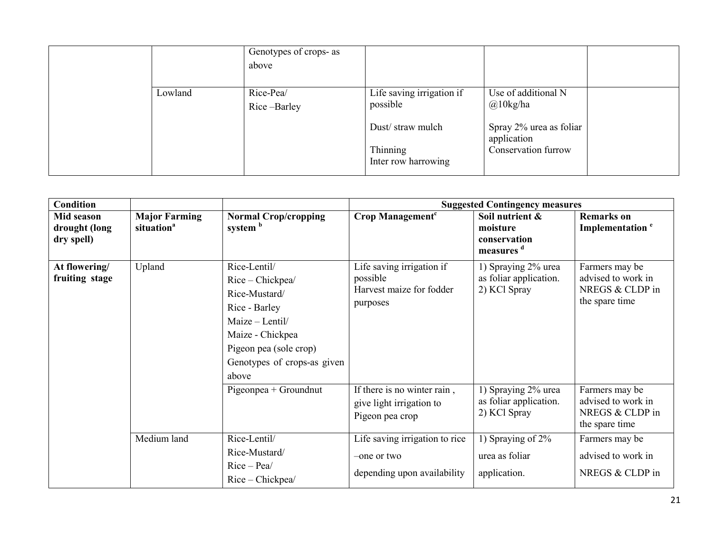|         | Genotypes of crops- as<br>above |                                                           |                                                               |  |
|---------|---------------------------------|-----------------------------------------------------------|---------------------------------------------------------------|--|
| Lowland | Rice-Pea/<br>Rice-Barley        | Life saving irrigation if<br>possible<br>Dust/straw mulch | Use of additional N<br>$@10$ kg/ha<br>Spray 2% urea as foliar |  |
|         |                                 | Thinning<br>Inter row harrowing                           | application<br>Conservation furrow                            |  |

| <b>Condition</b>                          |                                                |                                                                                                                                                                             |                                                                               | <b>Suggested Contingency measures</b>                                |                                                                           |
|-------------------------------------------|------------------------------------------------|-----------------------------------------------------------------------------------------------------------------------------------------------------------------------------|-------------------------------------------------------------------------------|----------------------------------------------------------------------|---------------------------------------------------------------------------|
| Mid season<br>drought (long<br>dry spell) | <b>Major Farming</b><br>situation <sup>a</sup> | <b>Normal Crop/cropping</b><br>system <sup>b</sup>                                                                                                                          | Crop Management <sup>c</sup>                                                  | Soil nutrient &<br>moisture<br>conservation<br>measures <sup>d</sup> | <b>Remarks</b> on<br>Implementation <sup>e</sup>                          |
| At flowering/<br>fruiting stage           | Upland                                         | Rice-Lentil/<br>Rice - Chickpea/<br>Rice-Mustard/<br>Rice - Barley<br>Maize - Lentil/<br>Maize - Chickpea<br>Pigeon pea (sole crop)<br>Genotypes of crops-as given<br>above | Life saving irrigation if<br>possible<br>Harvest maize for fodder<br>purposes | 1) Spraying 2% urea<br>as foliar application.<br>2) KCl Spray        | Farmers may be<br>advised to work in<br>NREGS & CLDP in<br>the spare time |
|                                           |                                                | Pigeonpea + Groundnut                                                                                                                                                       | If there is no winter rain,<br>give light irrigation to<br>Pigeon pea crop    | 1) Spraying 2% urea<br>as foliar application.<br>2) KCl Spray        | Farmers may be<br>advised to work in<br>NREGS & CLDP in<br>the spare time |
|                                           | Medium land                                    | Rice-Lentil/<br>Rice-Mustard/<br>$Rice-Pea/$<br>Rice – Chickpea/                                                                                                            | Life saving irrigation to rice<br>-one or two<br>depending upon availability  | 1) Spraying of 2%<br>urea as foliar<br>application.                  | Farmers may be<br>advised to work in<br>NREGS & CLDP in                   |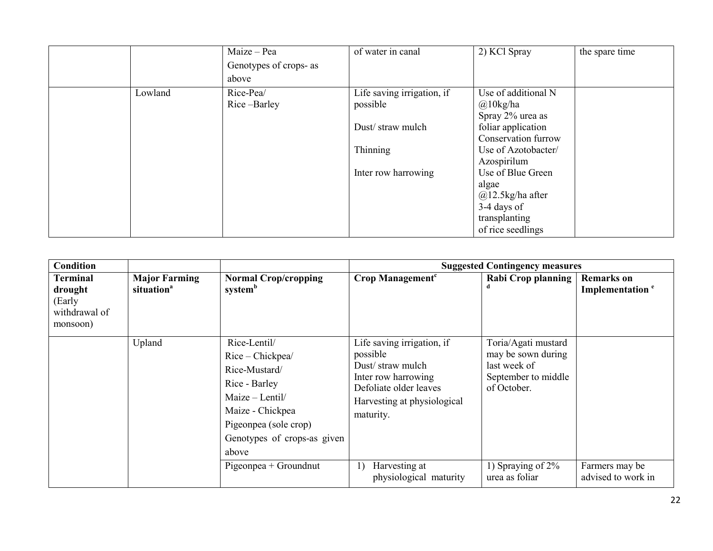|         | Maize - Pea            | of water in canal          | 2) KCl Spray        | the spare time |
|---------|------------------------|----------------------------|---------------------|----------------|
|         | Genotypes of crops- as |                            |                     |                |
|         | above                  |                            |                     |                |
| Lowland | Rice-Pea/              | Life saving irrigation, if | Use of additional N |                |
|         | Rice-Barley            | possible                   | $\omega$ 10kg/ha    |                |
|         |                        |                            | Spray 2% urea as    |                |
|         |                        | Dust/straw mulch           | foliar application  |                |
|         |                        |                            | Conservation furrow |                |
|         |                        | Thinning                   | Use of Azotobacter/ |                |
|         |                        |                            | Azospirilum         |                |
|         |                        | Inter row harrowing        | Use of Blue Green   |                |
|         |                        |                            | algae               |                |
|         |                        |                            | $@12.5$ kg/ha after |                |
|         |                        |                            | 3-4 days of         |                |
|         |                        |                            | transplanting       |                |
|         |                        |                            | of rice seedlings   |                |

| <b>Condition</b>                                           |                                                |                                                                                                                                                                                                       |                                                                                                                                                                                                          | <b>Suggested Contingency measures</b>                                                                                                     |                                                  |
|------------------------------------------------------------|------------------------------------------------|-------------------------------------------------------------------------------------------------------------------------------------------------------------------------------------------------------|----------------------------------------------------------------------------------------------------------------------------------------------------------------------------------------------------------|-------------------------------------------------------------------------------------------------------------------------------------------|--------------------------------------------------|
| Terminal<br>drought<br>(Early<br>withdrawal of<br>monsoon) | <b>Major Farming</b><br>situation <sup>a</sup> | <b>Normal Crop/cropping</b><br>system <sup>b</sup>                                                                                                                                                    | Crop Management <sup>c</sup>                                                                                                                                                                             | Rabi Crop planning                                                                                                                        | <b>Remarks</b> on<br>Implementation <sup>e</sup> |
|                                                            | Upland                                         | Rice-Lentil/<br>Rice - Chickpea/<br>Rice-Mustard/<br>Rice - Barley<br>$Maize - Lentil/$<br>Maize - Chickpea<br>Pigeonpea (sole crop)<br>Genotypes of crops-as given<br>above<br>Pigeonpea + Groundnut | Life saving irrigation, if<br>possible<br>Dust/straw mulch<br>Inter row harrowing<br>Defoliate older leaves<br>Harvesting at physiological<br>maturity.<br>Harvesting at<br>1)<br>physiological maturity | Toria/Agati mustard<br>may be sown during<br>last week of<br>September to middle<br>of October.<br>1) Spraying of $2\%$<br>urea as foliar | Farmers may be<br>advised to work in             |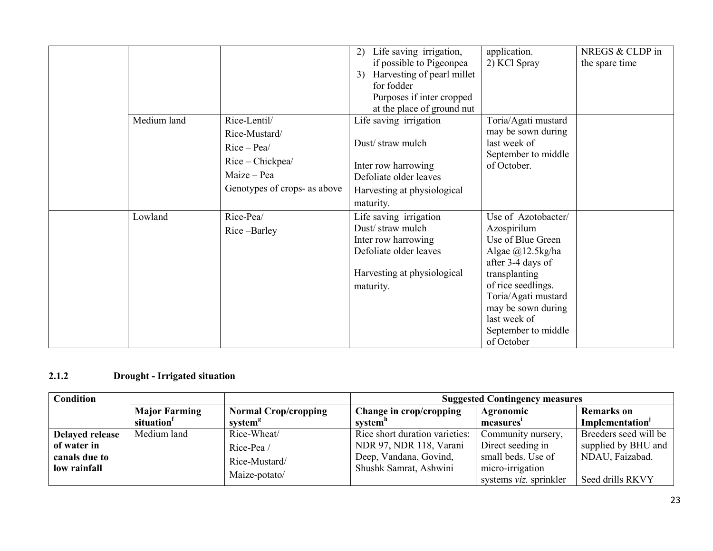| Medium land | Rice-Lentil/<br>Rice-Mustard/                                                  | Life saving irrigation,<br>2)<br>if possible to Pigeonpea<br>Harvesting of pearl millet<br>3)<br>for fodder<br>Purposes if inter cropped<br>at the place of ground nut<br>Life saving irrigation | application.<br>2) KCl Spray<br>Toria/Agati mustard<br>may be sown during                                                                                                                                                                      | NREGS & CLDP in<br>the spare time |
|-------------|--------------------------------------------------------------------------------|--------------------------------------------------------------------------------------------------------------------------------------------------------------------------------------------------|------------------------------------------------------------------------------------------------------------------------------------------------------------------------------------------------------------------------------------------------|-----------------------------------|
|             | $Rice-Pea/$<br>Rice - Chickpea/<br>Maize – Pea<br>Genotypes of crops- as above | Dust/straw mulch<br>Inter row harrowing<br>Defoliate older leaves<br>Harvesting at physiological<br>maturity.                                                                                    | last week of<br>September to middle<br>of October.                                                                                                                                                                                             |                                   |
| Lowland     | Rice-Pea/<br>Rice-Barley                                                       | Life saving irrigation<br>Dust/straw mulch<br>Inter row harrowing<br>Defoliate older leaves<br>Harvesting at physiological<br>maturity.                                                          | Use of Azotobacter/<br>Azospirilum<br>Use of Blue Green<br>Algae $(a)$ 12.5kg/ha<br>after 3-4 days of<br>transplanting<br>of rice seedlings.<br>Toria/Agati mustard<br>may be sown during<br>last week of<br>September to middle<br>of October |                                   |

#### 2.1.2 Drought - Irrigated situation

| <b>Condition</b> |                        |                             | <b>Suggested Contingency measures</b> |                                |                             |  |
|------------------|------------------------|-----------------------------|---------------------------------------|--------------------------------|-----------------------------|--|
|                  | <b>Major Farming</b>   | <b>Normal Crop/cropping</b> | Change in crop/cropping               | Agronomic                      | <b>Remarks</b> on           |  |
|                  | situation <sup>1</sup> | system <sup>g</sup>         | system"                               | measures                       | Implementation <sup>J</sup> |  |
| Delayed release  | Medium land            | Rice-Wheat/                 | Rice short duration varieties:        | Community nursery,             | Breeders seed will be       |  |
| of water in      |                        | Rice-Pea/                   | NDR 97, NDR 118, Varani               | Direct seeding in              | supplied by BHU and         |  |
| canals due to    |                        | Rice-Mustard/               | Deep, Vandana, Govind,                | small beds. Use of             | NDAU, Faizabad.             |  |
| low rainfall     |                        |                             | Shushk Samrat, Ashwini                | micro-irrigation               |                             |  |
|                  |                        | Maize-potato/               |                                       | systems <i>viz</i> . sprinkler | Seed drills RKVY            |  |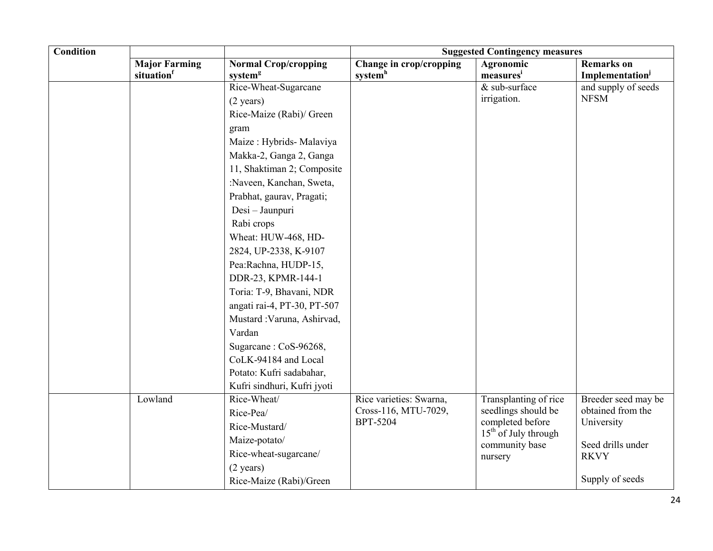| <b>Condition</b> |                                   |                                                    |                                                | <b>Suggested Contingency measures</b>    |                                                    |
|------------------|-----------------------------------|----------------------------------------------------|------------------------------------------------|------------------------------------------|----------------------------------------------------|
|                  | <b>Major Farming</b><br>situation | <b>Normal Crop/cropping</b><br>system <sup>g</sup> | Change in crop/cropping<br>system <sup>h</sup> | Agronomic                                | <b>Remarks</b> on                                  |
|                  |                                   | Rice-Wheat-Sugarcane                               |                                                | measures <sup>i</sup><br>$&$ sub-surface | Implementation <sup>j</sup><br>and supply of seeds |
|                  |                                   | $(2 \text{ years})$                                |                                                | irrigation.                              | <b>NFSM</b>                                        |
|                  |                                   | Rice-Maize (Rabi)/ Green                           |                                                |                                          |                                                    |
|                  |                                   | gram                                               |                                                |                                          |                                                    |
|                  |                                   | Maize: Hybrids- Malaviya                           |                                                |                                          |                                                    |
|                  |                                   | Makka-2, Ganga 2, Ganga                            |                                                |                                          |                                                    |
|                  |                                   | 11, Shaktiman 2; Composite                         |                                                |                                          |                                                    |
|                  |                                   | :Naveen, Kanchan, Sweta,                           |                                                |                                          |                                                    |
|                  |                                   | Prabhat, gaurav, Pragati;                          |                                                |                                          |                                                    |
|                  |                                   | Desi - Jaunpuri                                    |                                                |                                          |                                                    |
|                  |                                   | Rabi crops                                         |                                                |                                          |                                                    |
|                  |                                   | Wheat: HUW-468, HD-                                |                                                |                                          |                                                    |
|                  |                                   | 2824, UP-2338, K-9107                              |                                                |                                          |                                                    |
|                  |                                   | Pea:Rachna, HUDP-15,                               |                                                |                                          |                                                    |
|                  |                                   | DDR-23, KPMR-144-1                                 |                                                |                                          |                                                    |
|                  |                                   | Toria: T-9, Bhavani, NDR                           |                                                |                                          |                                                    |
|                  |                                   | angati rai-4, PT-30, PT-507                        |                                                |                                          |                                                    |
|                  |                                   | Mustard : Varuna, Ashirvad,                        |                                                |                                          |                                                    |
|                  |                                   | Vardan                                             |                                                |                                          |                                                    |
|                  |                                   | Sugarcane: CoS-96268,                              |                                                |                                          |                                                    |
|                  |                                   | CoLK-94184 and Local                               |                                                |                                          |                                                    |
|                  |                                   | Potato: Kufri sadabahar,                           |                                                |                                          |                                                    |
|                  |                                   | Kufri sindhuri, Kufri jyoti                        |                                                |                                          |                                                    |
|                  | Lowland                           | Rice-Wheat/                                        | Rice varieties: Swarna,                        | Transplanting of rice                    | Breeder seed may be                                |
|                  |                                   | Rice-Pea/                                          | Cross-116, MTU-7029,                           | seedlings should be                      | obtained from the                                  |
|                  |                                   | Rice-Mustard/                                      | completed before<br><b>BPT-5204</b>            | $15th$ of July through                   | University                                         |
|                  |                                   | Maize-potato/                                      |                                                | community base                           | Seed drills under                                  |
|                  |                                   | Rice-wheat-sugarcane/                              |                                                | nursery                                  | <b>RKVY</b>                                        |
|                  |                                   | $(2 \text{ years})$                                |                                                |                                          |                                                    |
|                  |                                   | Rice-Maize (Rabi)/Green                            |                                                |                                          | Supply of seeds                                    |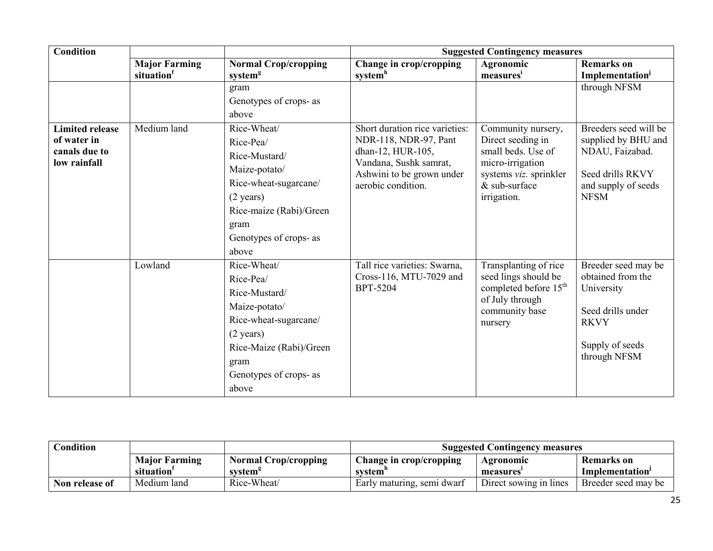| <b>Condition</b>                                                       |                                   |                                                                                                                                                                                  |                                                                                                                                                           | <b>Suggested Contingency measures</b>                                                                                                       |                                                                                                                               |
|------------------------------------------------------------------------|-----------------------------------|----------------------------------------------------------------------------------------------------------------------------------------------------------------------------------|-----------------------------------------------------------------------------------------------------------------------------------------------------------|---------------------------------------------------------------------------------------------------------------------------------------------|-------------------------------------------------------------------------------------------------------------------------------|
|                                                                        | <b>Major Farming</b><br>situation | <b>Normal Crop/cropping</b><br>system <sup>g</sup>                                                                                                                               | Change in crop/cropping<br>system <sup>h</sup>                                                                                                            | Agronomic<br>measures                                                                                                                       | <b>Remarks</b> on<br><b>Implementation</b> <sup>j</sup>                                                                       |
|                                                                        |                                   | gram<br>Genotypes of crops- as<br>above                                                                                                                                          |                                                                                                                                                           |                                                                                                                                             | through NFSM                                                                                                                  |
| <b>Limited release</b><br>of water in<br>canals due to<br>low rainfall | Medium land                       | Rice-Wheat/<br>Rice-Pea/<br>Rice-Mustard/<br>Maize-potato/<br>Rice-wheat-sugarcane/<br>$(2 \text{ years})$<br>Rice-maize (Rabi)/Green<br>gram<br>Genotypes of crops- as<br>above | Short duration rice varieties:<br>NDR-118, NDR-97, Pant<br>dhan-12, HUR-105,<br>Vandana, Sushk samrat,<br>Ashwini to be grown under<br>aerobic condition. | Community nursery,<br>Direct seeding in<br>small beds. Use of<br>micro-irrigation<br>systems viz. sprinkler<br>& sub-surface<br>irrigation. | Breeders seed will be<br>supplied by BHU and<br>NDAU, Faizabad.<br>Seed drills RKVY<br>and supply of seeds<br><b>NFSM</b>     |
|                                                                        | Lowland                           | Rice-Wheat/<br>Rice-Pea/<br>Rice-Mustard/<br>Maize-potato/<br>Rice-wheat-sugarcane/<br>$(2 \text{ years})$<br>Rice-Maize (Rabi)/Green<br>gram<br>Genotypes of crops- as<br>above | Tall rice varieties: Swarna,<br>Cross-116, MTU-7029 and<br><b>BPT-5204</b>                                                                                | Transplanting of rice<br>seed lings should be<br>completed before 15 <sup>th</sup><br>of July through<br>community base<br>nursery          | Breeder seed may be<br>obtained from the<br>University<br>Seed drills under<br><b>RKVY</b><br>Supply of seeds<br>through NFSM |

| Condition      |                        |                      | <b>Suggested Contingency measures</b> |                        |                             |  |
|----------------|------------------------|----------------------|---------------------------------------|------------------------|-----------------------------|--|
|                | <b>Major Farming</b>   | Normal Crop/cropping | Change in crop/cropping               | Agronomic              | Remarks on                  |  |
|                | situation <sup>1</sup> | system <sup>s</sup>  | system <sup>'</sup>                   | measures               | Implementation <sup>1</sup> |  |
| Non release of | Medium land            | Rice-Wheat/          | Early maturing, semi dwarf            | Direct sowing in lines | Breeder seed may be         |  |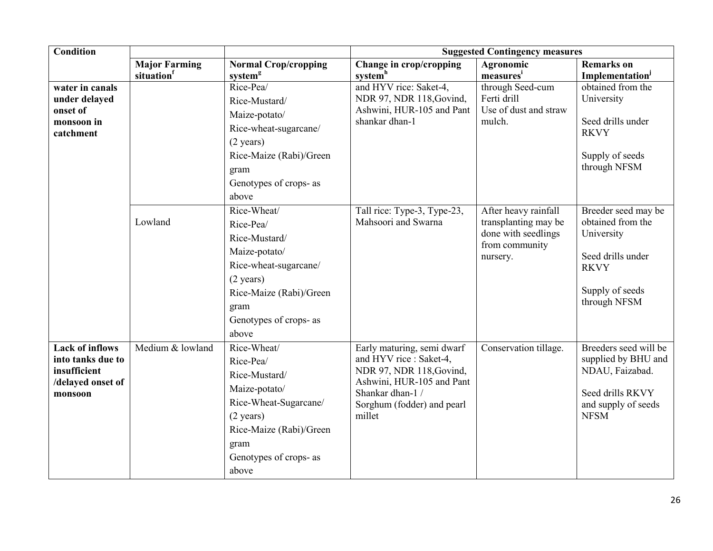| <b>Condition</b>                                                                            |                                   |                                                                                                                                                                                  |                                                                                                                                                                            | <b>Suggested Contingency measures</b>                                                             |                                                                                                                               |
|---------------------------------------------------------------------------------------------|-----------------------------------|----------------------------------------------------------------------------------------------------------------------------------------------------------------------------------|----------------------------------------------------------------------------------------------------------------------------------------------------------------------------|---------------------------------------------------------------------------------------------------|-------------------------------------------------------------------------------------------------------------------------------|
|                                                                                             | <b>Major Farming</b><br>situation | <b>Normal Crop/cropping</b><br>system <sup>g</sup>                                                                                                                               | Change in crop/cropping<br>system <sup>h</sup>                                                                                                                             | Agronomic<br>measures <sup>i</sup>                                                                | <b>Remarks</b> on<br>Implementation                                                                                           |
| water in canals<br>under delayed<br>onset of<br>monsoon in<br>catchment                     |                                   | Rice-Pea/<br>Rice-Mustard/<br>Maize-potato/<br>Rice-wheat-sugarcane/<br>$(2 \text{ years})$<br>Rice-Maize (Rabi)/Green<br>gram<br>Genotypes of crops- as<br>above                | and HYV rice: Saket-4,<br>NDR 97, NDR 118, Govind,<br>Ashwini, HUR-105 and Pant<br>shankar dhan-1                                                                          | through Seed-cum<br>Ferti drill<br>Use of dust and straw<br>mulch.                                | obtained from the<br>University<br>Seed drills under<br><b>RKVY</b><br>Supply of seeds<br>through NFSM                        |
|                                                                                             | Lowland                           | Rice-Wheat/<br>Rice-Pea/<br>Rice-Mustard/<br>Maize-potato/<br>Rice-wheat-sugarcane/<br>$(2 \text{ years})$<br>Rice-Maize (Rabi)/Green<br>gram<br>Genotypes of crops- as<br>above | Tall rice: Type-3, Type-23,<br>Mahsoori and Swarna                                                                                                                         | After heavy rainfall<br>transplanting may be<br>done with seedlings<br>from community<br>nursery. | Breeder seed may be<br>obtained from the<br>University<br>Seed drills under<br><b>RKVY</b><br>Supply of seeds<br>through NFSM |
| <b>Lack of inflows</b><br>into tanks due to<br>insufficient<br>/delayed onset of<br>monsoon | Medium & lowland                  | Rice-Wheat/<br>Rice-Pea/<br>Rice-Mustard/<br>Maize-potato/<br>Rice-Wheat-Sugarcane/<br>$(2 \text{ years})$<br>Rice-Maize (Rabi)/Green<br>gram<br>Genotypes of crops- as<br>above | Early maturing, semi dwarf<br>and HYV rice : Saket-4,<br>NDR 97, NDR 118, Govind,<br>Ashwini, HUR-105 and Pant<br>Shankar dhan-1 /<br>Sorghum (fodder) and pearl<br>millet | Conservation tillage.                                                                             | Breeders seed will be<br>supplied by BHU and<br>NDAU, Faizabad.<br>Seed drills RKVY<br>and supply of seeds<br><b>NFSM</b>     |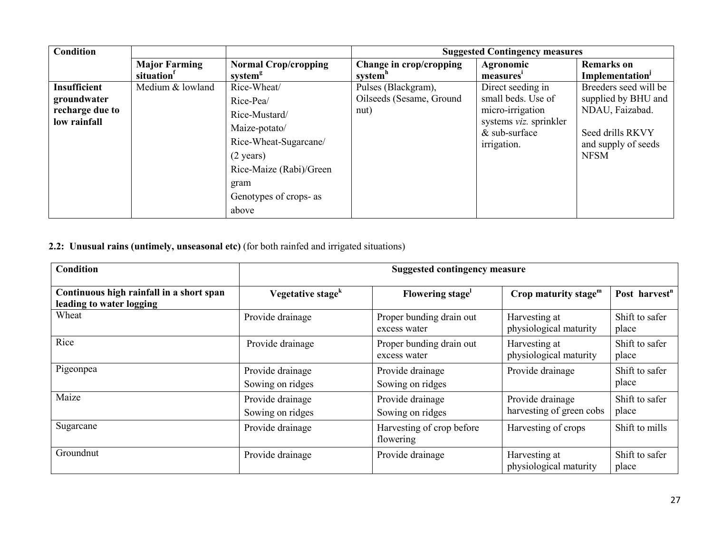| <b>Condition</b>                                                      |                                   |                                                                                                                                                                                  |                                                         | <b>Suggested Contingency measures</b>                                                                                   |                                                                                                                           |
|-----------------------------------------------------------------------|-----------------------------------|----------------------------------------------------------------------------------------------------------------------------------------------------------------------------------|---------------------------------------------------------|-------------------------------------------------------------------------------------------------------------------------|---------------------------------------------------------------------------------------------------------------------------|
|                                                                       | <b>Major Farming</b><br>situation | <b>Normal Crop/cropping</b><br>system <sup>g</sup>                                                                                                                               | Change in crop/cropping<br>system <sup>n</sup>          | Agronomic<br>measures'                                                                                                  | <b>Remarks</b> on<br><b>Implementation</b> <sup>J</sup>                                                                   |
| <b>Insufficient</b><br>groundwater<br>recharge due to<br>low rainfall | Medium & lowland                  | Rice-Wheat/<br>Rice-Pea/<br>Rice-Mustard/<br>Maize-potato/<br>Rice-Wheat-Sugarcane/<br>$(2 \text{ years})$<br>Rice-Maize (Rabi)/Green<br>gram<br>Genotypes of crops- as<br>above | Pulses (Blackgram),<br>Oilseeds (Sesame, Ground<br>nut) | Direct seeding in<br>small beds. Use of<br>micro-irrigation<br>systems viz. sprinkler<br>$&$ sub-surface<br>irrigation. | Breeders seed will be<br>supplied by BHU and<br>NDAU, Faizabad.<br>Seed drills RKVY<br>and supply of seeds<br><b>NFSM</b> |

2.2: Unusual rains (untimely, unseasonal etc) (for both rainfed and irrigated situations)

| <b>Condition</b>                                                     |                                      | <b>Suggested contingency measure</b>     |                                              |                           |
|----------------------------------------------------------------------|--------------------------------------|------------------------------------------|----------------------------------------------|---------------------------|
| Continuous high rainfall in a short span<br>leading to water logging | Vegetative stage <sup>k</sup>        | Flowering stage <sup>1</sup>             | Crop maturity stage $m$                      | Post harvest <sup>n</sup> |
| Wheat                                                                | Provide drainage                     | Proper bunding drain out<br>excess water | Harvesting at<br>physiological maturity      | Shift to safer<br>place   |
| Rice                                                                 | Provide drainage                     | Proper bunding drain out<br>excess water | Harvesting at<br>physiological maturity      | Shift to safer<br>place   |
| Pigeonpea                                                            | Provide drainage<br>Sowing on ridges | Provide drainage<br>Sowing on ridges     | Provide drainage                             | Shift to safer<br>place   |
| Maize                                                                | Provide drainage<br>Sowing on ridges | Provide drainage<br>Sowing on ridges     | Provide drainage<br>harvesting of green cobs | Shift to safer<br>place   |
| Sugarcane                                                            | Provide drainage                     | Harvesting of crop before<br>flowering   | Harvesting of crops                          | Shift to mills            |
| Groundnut                                                            | Provide drainage                     | Provide drainage                         | Harvesting at<br>physiological maturity      | Shift to safer<br>place   |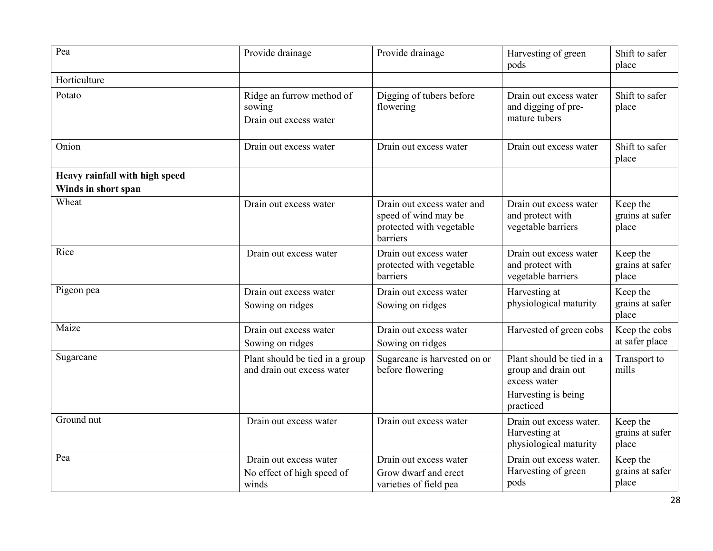| Pea                            | Provide drainage                                              | Provide drainage                                                                           | Harvesting of green<br>pods                                                                          | Shift to safer<br>place              |
|--------------------------------|---------------------------------------------------------------|--------------------------------------------------------------------------------------------|------------------------------------------------------------------------------------------------------|--------------------------------------|
| Horticulture                   |                                                               |                                                                                            |                                                                                                      |                                      |
| Potato                         | Ridge an furrow method of<br>sowing<br>Drain out excess water | Digging of tubers before<br>flowering                                                      | Drain out excess water<br>and digging of pre-<br>mature tubers                                       | Shift to safer<br>place              |
| Onion                          | Drain out excess water                                        | Drain out excess water                                                                     | Drain out excess water                                                                               | Shift to safer<br>place              |
| Heavy rainfall with high speed |                                                               |                                                                                            |                                                                                                      |                                      |
| Winds in short span            |                                                               |                                                                                            |                                                                                                      |                                      |
| Wheat                          | Drain out excess water                                        | Drain out excess water and<br>speed of wind may be<br>protected with vegetable<br>barriers | Drain out excess water<br>and protect with<br>vegetable barriers                                     | Keep the<br>grains at safer<br>place |
| Rice                           | Drain out excess water                                        | Drain out excess water<br>protected with vegetable<br>barriers                             | Drain out excess water<br>and protect with<br>vegetable barriers                                     | Keep the<br>grains at safer<br>place |
| Pigeon pea                     | Drain out excess water<br>Sowing on ridges                    | Drain out excess water<br>Sowing on ridges                                                 | Harvesting at<br>physiological maturity                                                              | Keep the<br>grains at safer<br>place |
| Maize                          | Drain out excess water<br>Sowing on ridges                    | Drain out excess water<br>Sowing on ridges                                                 | Harvested of green cobs                                                                              | Keep the cobs<br>at safer place      |
| Sugarcane                      | Plant should be tied in a group<br>and drain out excess water | Sugarcane is harvested on or<br>before flowering                                           | Plant should be tied in a<br>group and drain out<br>excess water<br>Harvesting is being<br>practiced | Transport to<br>mills                |
| Ground nut                     | Drain out excess water                                        | Drain out excess water                                                                     | Drain out excess water.<br>Harvesting at<br>physiological maturity                                   | Keep the<br>grains at safer<br>place |
| Pea                            | Drain out excess water<br>No effect of high speed of<br>winds | Drain out excess water<br>Grow dwarf and erect<br>varieties of field pea                   | Drain out excess water.<br>Harvesting of green<br>pods                                               | Keep the<br>grains at safer<br>place |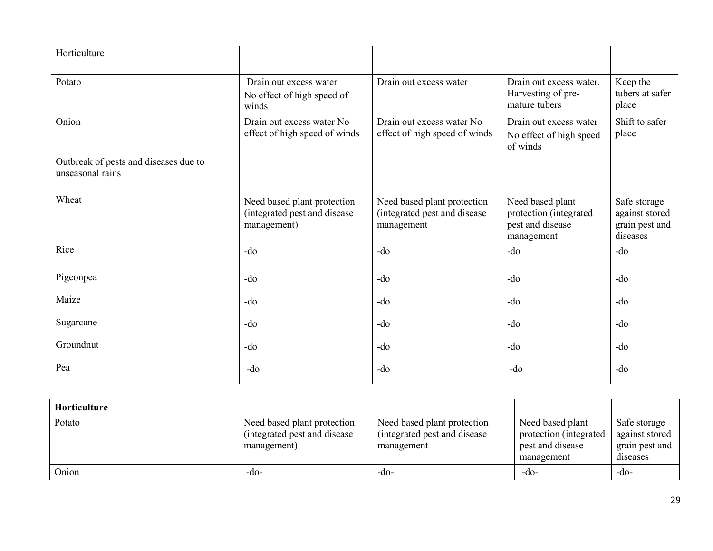| Horticulture                                              |                                                                            |                                                                           |                                                                              |                                                              |
|-----------------------------------------------------------|----------------------------------------------------------------------------|---------------------------------------------------------------------------|------------------------------------------------------------------------------|--------------------------------------------------------------|
| Potato                                                    | Drain out excess water<br>No effect of high speed of<br>winds              | Drain out excess water                                                    | Drain out excess water.<br>Harvesting of pre-<br>mature tubers               | Keep the<br>tubers at safer<br>place                         |
| Onion                                                     | Drain out excess water No<br>effect of high speed of winds                 | Drain out excess water No<br>effect of high speed of winds                | Drain out excess water<br>No effect of high speed<br>of winds                | Shift to safer<br>place                                      |
| Outbreak of pests and diseases due to<br>unseasonal rains |                                                                            |                                                                           |                                                                              |                                                              |
| Wheat                                                     | Need based plant protection<br>(integrated pest and disease<br>management) | Need based plant protection<br>(integrated pest and disease<br>management | Need based plant<br>protection (integrated<br>pest and disease<br>management | Safe storage<br>against stored<br>grain pest and<br>diseases |
| Rice                                                      | $-do$                                                                      | $-do$                                                                     | $-do$                                                                        | $-do$                                                        |
| Pigeonpea                                                 | $-do$                                                                      | $-do$                                                                     | $-do$                                                                        | -do                                                          |
| Maize                                                     | $-do$                                                                      | $-do$                                                                     | $-do$                                                                        | -do                                                          |
| Sugarcane                                                 | -do                                                                        | $-do$                                                                     | -do                                                                          | -do                                                          |
| Groundnut                                                 | $-do$                                                                      | $-do$                                                                     | $-do$                                                                        | -do                                                          |
| Pea                                                       | $-do$                                                                      | $-do$                                                                     | $-do$                                                                        | $-do$                                                        |

| Horticulture |                                                                             |                                                                          |                                                                               |                                                              |
|--------------|-----------------------------------------------------------------------------|--------------------------------------------------------------------------|-------------------------------------------------------------------------------|--------------------------------------------------------------|
| Potato       | Need based plant protection<br>(integrated pest and disease)<br>management) | Need based plant protection<br>integrated pest and disease<br>management | Need based plant<br>protection (integrated)<br>pest and disease<br>management | Safe storage<br>against stored<br>grain pest and<br>diseases |
| Onion        | -do-                                                                        | -do-                                                                     | $-dO-$                                                                        | -do-                                                         |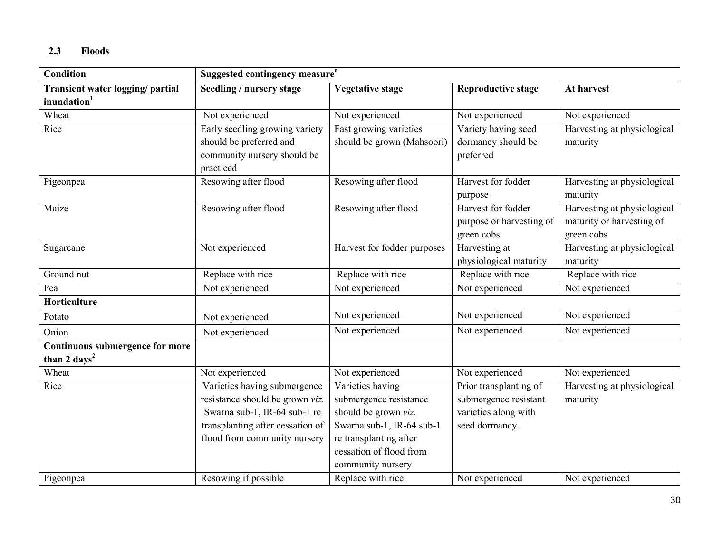## 2.3 Floods

| <b>Condition</b>                                                   | Suggested contingency measure <sup>o</sup>                                                                                                                          |                                                                                                                                                                           |                                                                                           |                                                                        |
|--------------------------------------------------------------------|---------------------------------------------------------------------------------------------------------------------------------------------------------------------|---------------------------------------------------------------------------------------------------------------------------------------------------------------------------|-------------------------------------------------------------------------------------------|------------------------------------------------------------------------|
| Transient water logging/ partial<br>inundation <sup>1</sup>        | Seedling / nursery stage                                                                                                                                            | <b>Vegetative stage</b>                                                                                                                                                   | <b>Reproductive stage</b>                                                                 | At harvest                                                             |
| Wheat                                                              | Not experienced                                                                                                                                                     | Not experienced                                                                                                                                                           | Not experienced                                                                           | Not experienced                                                        |
| Rice                                                               | Early seedling growing variety<br>should be preferred and<br>community nursery should be<br>practiced                                                               | Fast growing varieties<br>should be grown (Mahsoori)                                                                                                                      | Variety having seed<br>dormancy should be<br>preferred                                    | Harvesting at physiological<br>maturity                                |
| Pigeonpea                                                          | Resowing after flood                                                                                                                                                | Resowing after flood                                                                                                                                                      | Harvest for fodder<br>purpose                                                             | Harvesting at physiological<br>maturity                                |
| Maize                                                              | Resowing after flood                                                                                                                                                | Resowing after flood                                                                                                                                                      | Harvest for fodder<br>purpose or harvesting of<br>green cobs                              | Harvesting at physiological<br>maturity or harvesting of<br>green cobs |
| Sugarcane                                                          | Not experienced                                                                                                                                                     | Harvest for fodder purposes                                                                                                                                               | Harvesting at<br>physiological maturity                                                   | Harvesting at physiological<br>maturity                                |
| Ground nut                                                         | Replace with rice                                                                                                                                                   | Replace with rice                                                                                                                                                         | Replace with rice                                                                         | Replace with rice                                                      |
| Pea                                                                | Not experienced                                                                                                                                                     | Not experienced                                                                                                                                                           | Not experienced                                                                           | Not experienced                                                        |
| Horticulture                                                       |                                                                                                                                                                     |                                                                                                                                                                           |                                                                                           |                                                                        |
| Potato                                                             | Not experienced                                                                                                                                                     | Not experienced                                                                                                                                                           | Not experienced                                                                           | Not experienced                                                        |
| Onion                                                              | Not experienced                                                                                                                                                     | Not experienced                                                                                                                                                           | Not experienced                                                                           | Not experienced                                                        |
| <b>Continuous submergence for more</b><br>than 2 days <sup>2</sup> |                                                                                                                                                                     |                                                                                                                                                                           |                                                                                           |                                                                        |
| Wheat                                                              | Not experienced                                                                                                                                                     | Not experienced                                                                                                                                                           | Not experienced                                                                           | Not experienced                                                        |
| Rice                                                               | Varieties having submergence<br>resistance should be grown viz.<br>Swarna sub-1, IR-64 sub-1 re<br>transplanting after cessation of<br>flood from community nursery | Varieties having<br>submergence resistance<br>should be grown viz.<br>Swarna sub-1, IR-64 sub-1<br>re transplanting after<br>cessation of flood from<br>community nursery | Prior transplanting of<br>submergence resistant<br>varieties along with<br>seed dormancy. | Harvesting at physiological<br>maturity                                |
| Pigeonpea                                                          | Resowing if possible                                                                                                                                                | Replace with rice                                                                                                                                                         | Not experienced                                                                           | Not experienced                                                        |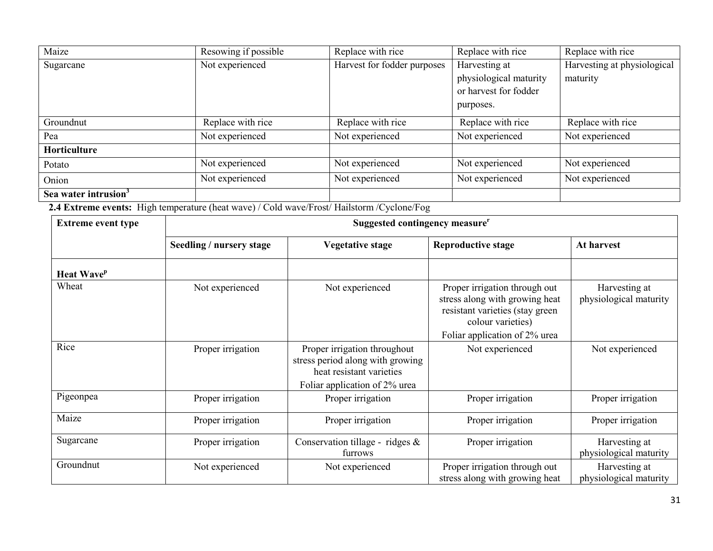| Maize                            | Resowing if possible | Replace with rice           | Replace with rice      | Replace with rice           |
|----------------------------------|----------------------|-----------------------------|------------------------|-----------------------------|
| Sugarcane                        | Not experienced      | Harvest for fodder purposes | Harvesting at          | Harvesting at physiological |
|                                  |                      |                             | physiological maturity | maturity                    |
|                                  |                      |                             | or harvest for fodder  |                             |
|                                  |                      |                             | purposes.              |                             |
| Groundnut                        | Replace with rice    | Replace with rice           | Replace with rice      | Replace with rice           |
| Pea                              | Not experienced      | Not experienced             | Not experienced        | Not experienced             |
| Horticulture                     |                      |                             |                        |                             |
| Potato                           | Not experienced      | Not experienced             | Not experienced        | Not experienced             |
| Onion                            | Not experienced      | Not experienced             | Not experienced        | Not experienced             |
| Sea water intrusion <sup>3</sup> |                      |                             |                        |                             |

2.4 Extreme events: High temperature (heat wave) / Cold wave/Frost/ Hailstorm /Cyclone/Fog

| <b>Extreme event type</b>     | Suggested contingency measure <sup>r</sup> |                                                                                                                               |                                                                                                                                                          |                                         |  |
|-------------------------------|--------------------------------------------|-------------------------------------------------------------------------------------------------------------------------------|----------------------------------------------------------------------------------------------------------------------------------------------------------|-----------------------------------------|--|
|                               | Seedling / nursery stage                   | <b>Vegetative stage</b>                                                                                                       | <b>Reproductive stage</b>                                                                                                                                | At harvest                              |  |
| <b>Heat Wave</b> <sup>p</sup> |                                            |                                                                                                                               |                                                                                                                                                          |                                         |  |
| Wheat                         | Not experienced                            | Not experienced                                                                                                               | Proper irrigation through out<br>stress along with growing heat<br>resistant varieties (stay green<br>colour varieties)<br>Foliar application of 2% urea | Harvesting at<br>physiological maturity |  |
| Rice                          | Proper irrigation                          | Proper irrigation throughout<br>stress period along with growing<br>heat resistant varieties<br>Foliar application of 2% urea | Not experienced                                                                                                                                          | Not experienced                         |  |
| Pigeonpea                     | Proper irrigation                          | Proper irrigation                                                                                                             | Proper irrigation                                                                                                                                        | Proper irrigation                       |  |
| Maize                         | Proper irrigation                          | Proper irrigation                                                                                                             | Proper irrigation                                                                                                                                        | Proper irrigation                       |  |
| Sugarcane                     | Proper irrigation                          | Conservation tillage - ridges &<br>furrows                                                                                    | Proper irrigation                                                                                                                                        | Harvesting at<br>physiological maturity |  |
| Groundnut                     | Not experienced                            | Not experienced                                                                                                               | Proper irrigation through out<br>stress along with growing heat                                                                                          | Harvesting at<br>physiological maturity |  |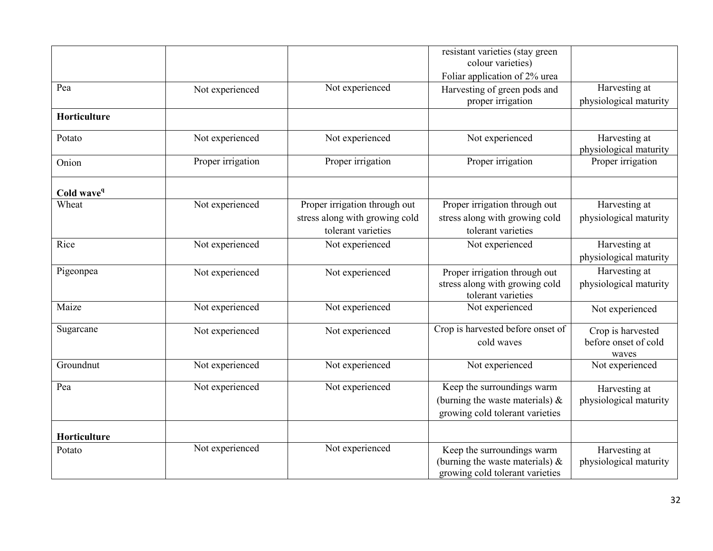|                        |                   |                                | resistant varieties (stay green<br>colour varieties) |                                         |
|------------------------|-------------------|--------------------------------|------------------------------------------------------|-----------------------------------------|
|                        |                   |                                | Foliar application of 2% urea                        |                                         |
| Pea                    | Not experienced   | Not experienced                | Harvesting of green pods and                         | Harvesting at                           |
|                        |                   |                                | proper irrigation                                    | physiological maturity                  |
| Horticulture           |                   |                                |                                                      |                                         |
| Potato                 | Not experienced   | Not experienced                | Not experienced                                      | Harvesting at<br>physiological maturity |
| Onion                  | Proper irrigation | Proper irrigation              | Proper irrigation                                    | Proper irrigation                       |
| Cold wave <sup>q</sup> |                   |                                |                                                      |                                         |
| Wheat                  | Not experienced   | Proper irrigation through out  | Proper irrigation through out                        | Harvesting at                           |
|                        |                   | stress along with growing cold | stress along with growing cold                       | physiological maturity                  |
|                        |                   | tolerant varieties             | tolerant varieties                                   |                                         |
| Rice                   | Not experienced   | Not experienced                | Not experienced                                      | Harvesting at                           |
|                        |                   |                                |                                                      | physiological maturity                  |
| Pigeonpea              | Not experienced   | Not experienced                | Proper irrigation through out                        | Harvesting at                           |
|                        |                   |                                | stress along with growing cold<br>tolerant varieties | physiological maturity                  |
| Maize                  | Not experienced   | Not experienced                | Not experienced                                      | Not experienced                         |
| Sugarcane              | Not experienced   | Not experienced                | Crop is harvested before onset of                    | Crop is harvested                       |
|                        |                   |                                | cold waves                                           | before onset of cold<br>waves           |
| Groundnut              | Not experienced   | Not experienced                | Not experienced                                      | Not experienced                         |
| Pea                    | Not experienced   | Not experienced                | Keep the surroundings warm                           | Harvesting at                           |
|                        |                   |                                | (burning the waste materials) $\&$                   | physiological maturity                  |
|                        |                   |                                | growing cold tolerant varieties                      |                                         |
| Horticulture           |                   |                                |                                                      |                                         |
| Potato                 | Not experienced   | Not experienced                | Keep the surroundings warm                           | Harvesting at                           |
|                        |                   |                                | (burning the waste materials) $\&$                   | physiological maturity                  |
|                        |                   |                                | growing cold tolerant varieties                      |                                         |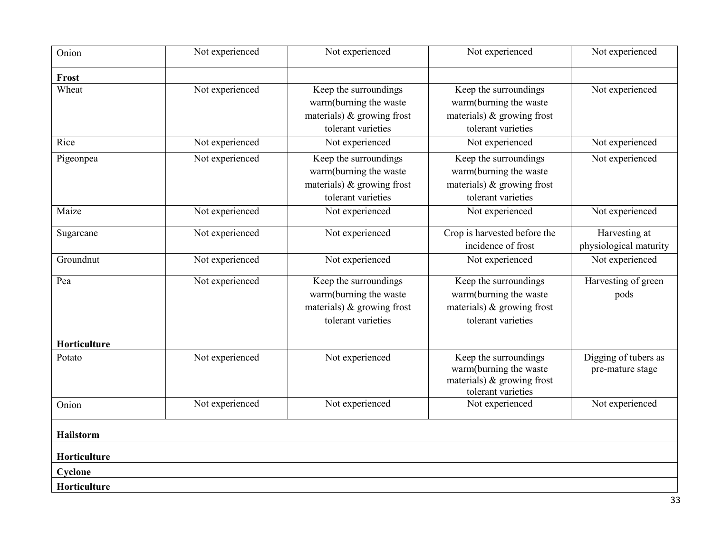| Onion            | Not experienced | Not experienced                                                                                        | Not experienced                                                                                        | Not experienced                          |
|------------------|-----------------|--------------------------------------------------------------------------------------------------------|--------------------------------------------------------------------------------------------------------|------------------------------------------|
| Frost            |                 |                                                                                                        |                                                                                                        |                                          |
| Wheat            | Not experienced | Keep the surroundings<br>warm(burning the waste<br>materials) & growing frost<br>tolerant varieties    | Keep the surroundings<br>warm(burning the waste<br>materials) $\&$ growing frost<br>tolerant varieties | Not experienced                          |
| Rice             | Not experienced | Not experienced                                                                                        | Not experienced                                                                                        | Not experienced                          |
| Pigeonpea        | Not experienced | Keep the surroundings<br>warm(burning the waste<br>materials) $\&$ growing frost<br>tolerant varieties | Keep the surroundings<br>warm(burning the waste<br>materials) $\&$ growing frost<br>tolerant varieties | Not experienced                          |
| Maize            | Not experienced | Not experienced                                                                                        | Not experienced                                                                                        | Not experienced                          |
| Sugarcane        | Not experienced | Not experienced                                                                                        | Crop is harvested before the<br>incidence of frost                                                     | Harvesting at<br>physiological maturity  |
| Groundnut        | Not experienced | Not experienced                                                                                        | Not experienced                                                                                        | Not experienced                          |
| Pea              | Not experienced | Keep the surroundings<br>warm(burning the waste<br>materials) $\&$ growing frost<br>tolerant varieties | Keep the surroundings<br>warm(burning the waste<br>materials) $\&$ growing frost<br>tolerant varieties | Harvesting of green<br>pods              |
| Horticulture     |                 |                                                                                                        |                                                                                                        |                                          |
| Potato           | Not experienced | Not experienced                                                                                        | Keep the surroundings<br>warm(burning the waste<br>materials) $\&$ growing frost<br>tolerant varieties | Digging of tubers as<br>pre-mature stage |
| Onion            | Not experienced | Not experienced                                                                                        | Not experienced                                                                                        | Not experienced                          |
| <b>Hailstorm</b> |                 |                                                                                                        |                                                                                                        |                                          |
| Horticulture     |                 |                                                                                                        |                                                                                                        |                                          |
| Cyclone          |                 |                                                                                                        |                                                                                                        |                                          |
| Horticulture     |                 |                                                                                                        |                                                                                                        |                                          |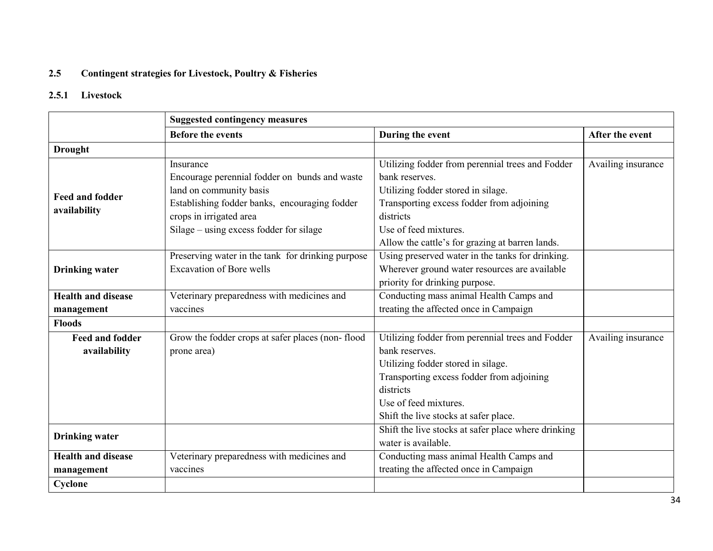#### 2.5 Contingent strategies for Livestock, Poultry & Fisheries

#### 2.5.1 Livestock

|                           | <b>Suggested contingency measures</b>             |                                                     |                    |  |
|---------------------------|---------------------------------------------------|-----------------------------------------------------|--------------------|--|
|                           | <b>Before the events</b>                          | During the event                                    | After the event    |  |
| <b>Drought</b>            |                                                   |                                                     |                    |  |
|                           | Insurance                                         | Utilizing fodder from perennial trees and Fodder    | Availing insurance |  |
|                           | Encourage perennial fodder on bunds and waste     | bank reserves.                                      |                    |  |
| <b>Feed and fodder</b>    | land on community basis                           | Utilizing fodder stored in silage.                  |                    |  |
|                           | Establishing fodder banks, encouraging fodder     | Transporting excess fodder from adjoining           |                    |  |
| availability              | crops in irrigated area                           | districts                                           |                    |  |
|                           | Silage – using excess fodder for silage           | Use of feed mixtures.                               |                    |  |
|                           |                                                   | Allow the cattle's for grazing at barren lands.     |                    |  |
|                           | Preserving water in the tank for drinking purpose | Using preserved water in the tanks for drinking.    |                    |  |
| <b>Drinking water</b>     | <b>Excavation of Bore wells</b>                   | Wherever ground water resources are available       |                    |  |
|                           |                                                   | priority for drinking purpose.                      |                    |  |
| <b>Health and disease</b> | Veterinary preparedness with medicines and        | Conducting mass animal Health Camps and             |                    |  |
| management                | vaccines                                          | treating the affected once in Campaign              |                    |  |
| <b>Floods</b>             |                                                   |                                                     |                    |  |
| <b>Feed and fodder</b>    | Grow the fodder crops at safer places (non-flood  | Utilizing fodder from perennial trees and Fodder    | Availing insurance |  |
| availability              | prone area)                                       | bank reserves.                                      |                    |  |
|                           |                                                   | Utilizing fodder stored in silage.                  |                    |  |
|                           |                                                   | Transporting excess fodder from adjoining           |                    |  |
|                           |                                                   | districts                                           |                    |  |
|                           |                                                   | Use of feed mixtures.                               |                    |  |
|                           |                                                   | Shift the live stocks at safer place.               |                    |  |
|                           |                                                   | Shift the live stocks at safer place where drinking |                    |  |
| <b>Drinking water</b>     |                                                   | water is available.                                 |                    |  |
| <b>Health and disease</b> | Veterinary preparedness with medicines and        | Conducting mass animal Health Camps and             |                    |  |
| management                | vaccines                                          | treating the affected once in Campaign              |                    |  |
| Cyclone                   |                                                   |                                                     |                    |  |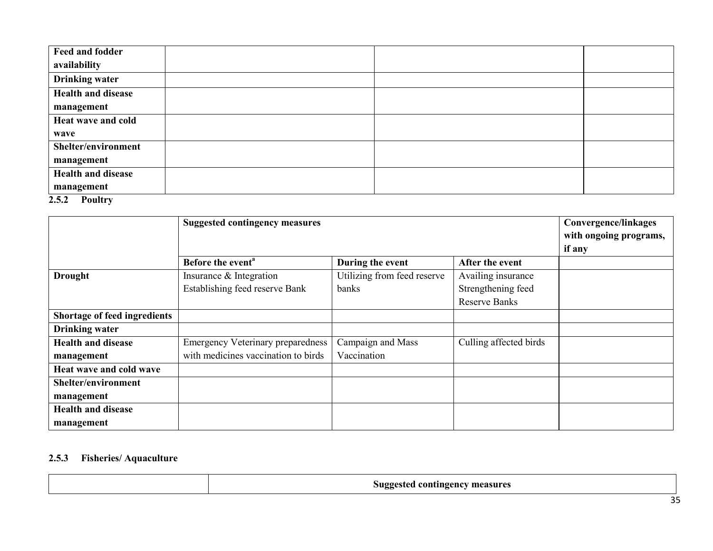| Feed and fodder           |  |  |
|---------------------------|--|--|
| availability              |  |  |
| <b>Drinking water</b>     |  |  |
| <b>Health and disease</b> |  |  |
| management                |  |  |
| Heat wave and cold        |  |  |
| wave                      |  |  |
| Shelter/environment       |  |  |
| management                |  |  |
| <b>Health and disease</b> |  |  |
| management                |  |  |

# 2.5.2 Poultry

|                                     | <b>Suggested contingency measures</b>    |                             |                        | <b>Convergence/linkages</b> |
|-------------------------------------|------------------------------------------|-----------------------------|------------------------|-----------------------------|
|                                     |                                          |                             | with ongoing programs, |                             |
|                                     |                                          |                             |                        | if any                      |
|                                     | Before the event <sup>a</sup>            | During the event            | After the event        |                             |
| <b>Drought</b>                      | Insurance & Integration                  | Utilizing from feed reserve | Availing insurance     |                             |
|                                     | Establishing feed reserve Bank           | banks                       | Strengthening feed     |                             |
|                                     |                                          |                             | <b>Reserve Banks</b>   |                             |
| <b>Shortage of feed ingredients</b> |                                          |                             |                        |                             |
| <b>Drinking water</b>               |                                          |                             |                        |                             |
| <b>Health and disease</b>           | <b>Emergency Veterinary preparedness</b> | Campaign and Mass           | Culling affected birds |                             |
| management                          | with medicines vaccination to birds      | Vaccination                 |                        |                             |
| Heat wave and cold wave             |                                          |                             |                        |                             |
| Shelter/environment                 |                                          |                             |                        |                             |
| management                          |                                          |                             |                        |                             |
| <b>Health and disease</b>           |                                          |                             |                        |                             |
| management                          |                                          |                             |                        |                             |

#### 2.5.3 Fisheries/ Aquaculture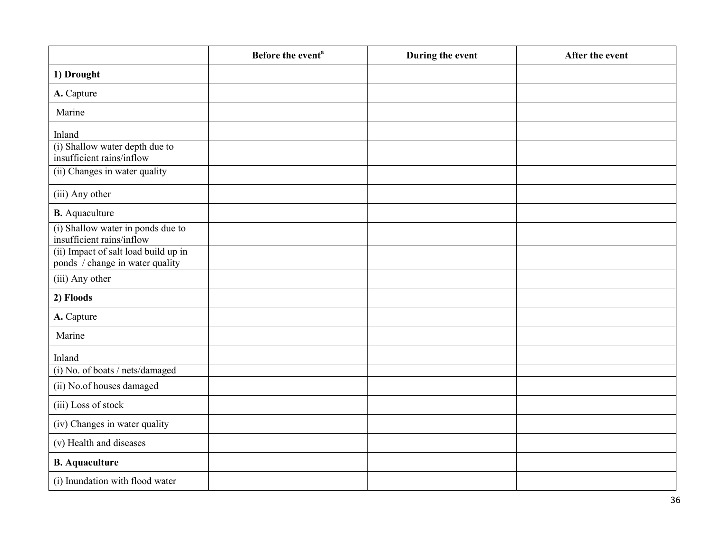|                                                                         | Before the event <sup>a</sup> | During the event | After the event |
|-------------------------------------------------------------------------|-------------------------------|------------------|-----------------|
| 1) Drought                                                              |                               |                  |                 |
| A. Capture                                                              |                               |                  |                 |
| Marine                                                                  |                               |                  |                 |
| Inland                                                                  |                               |                  |                 |
| (i) Shallow water depth due to<br>insufficient rains/inflow             |                               |                  |                 |
| (ii) Changes in water quality                                           |                               |                  |                 |
| (iii) Any other                                                         |                               |                  |                 |
| <b>B.</b> Aquaculture                                                   |                               |                  |                 |
| (i) Shallow water in ponds due to<br>insufficient rains/inflow          |                               |                  |                 |
| (ii) Impact of salt load build up in<br>ponds / change in water quality |                               |                  |                 |
| (iii) Any other                                                         |                               |                  |                 |
| 2) Floods                                                               |                               |                  |                 |
| A. Capture                                                              |                               |                  |                 |
| Marine                                                                  |                               |                  |                 |
| Inland                                                                  |                               |                  |                 |
| (i) No. of boats / nets/damaged                                         |                               |                  |                 |
| (ii) No.of houses damaged                                               |                               |                  |                 |
| (iii) Loss of stock                                                     |                               |                  |                 |
| (iv) Changes in water quality                                           |                               |                  |                 |
| (v) Health and diseases                                                 |                               |                  |                 |
| <b>B.</b> Aquaculture                                                   |                               |                  |                 |
| (i) Inundation with flood water                                         |                               |                  |                 |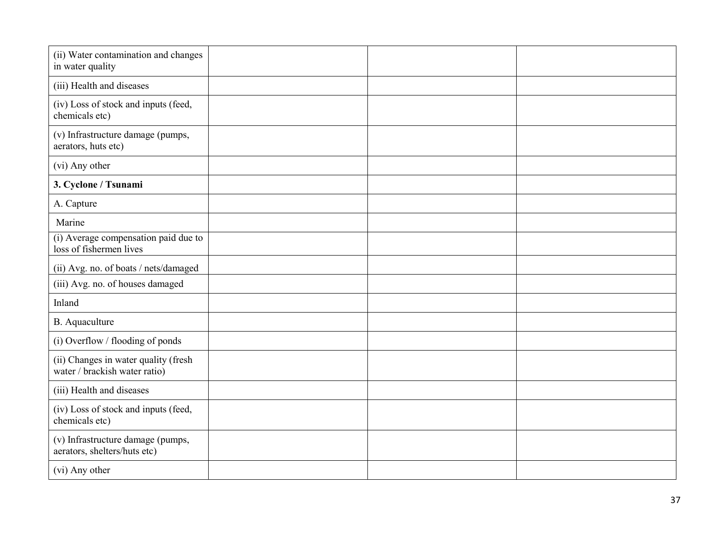| (ii) Water contamination and changes<br>in water quality              |  |  |
|-----------------------------------------------------------------------|--|--|
| (iii) Health and diseases                                             |  |  |
| (iv) Loss of stock and inputs (feed,<br>chemicals etc)                |  |  |
| (v) Infrastructure damage (pumps,<br>aerators, huts etc)              |  |  |
| (vi) Any other                                                        |  |  |
| 3. Cyclone / Tsunami                                                  |  |  |
| A. Capture                                                            |  |  |
| Marine                                                                |  |  |
| (i) Average compensation paid due to<br>loss of fishermen lives       |  |  |
| (ii) Avg. no. of boats / nets/damaged                                 |  |  |
| (iii) Avg. no. of houses damaged                                      |  |  |
| Inland                                                                |  |  |
| B. Aquaculture                                                        |  |  |
| (i) Overflow / flooding of ponds                                      |  |  |
| (ii) Changes in water quality (fresh<br>water / brackish water ratio) |  |  |
| (iii) Health and diseases                                             |  |  |
| (iv) Loss of stock and inputs (feed,<br>chemicals etc)                |  |  |
| (v) Infrastructure damage (pumps,<br>aerators, shelters/huts etc)     |  |  |
| (vi) Any other                                                        |  |  |